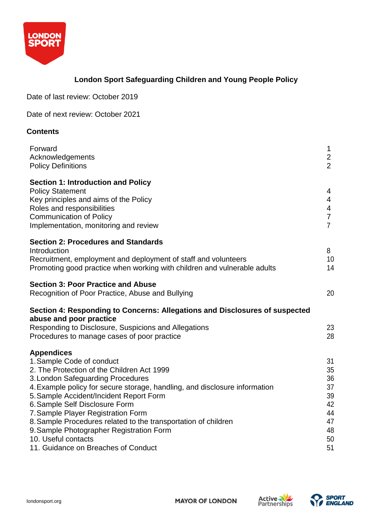

# **London Sport Safeguarding Children and Young People Policy**

Date of last review: October 2019

Date of next review: October 2021

## **Contents**

| Forward<br>Acknowledgements<br><b>Policy Definitions</b>                                                                                                                                                                                                                                                                                                                                                                                                                                                       | $\mathbf 1$<br>$\overline{2}$<br>$\overline{2}$                |
|----------------------------------------------------------------------------------------------------------------------------------------------------------------------------------------------------------------------------------------------------------------------------------------------------------------------------------------------------------------------------------------------------------------------------------------------------------------------------------------------------------------|----------------------------------------------------------------|
| <b>Section 1: Introduction and Policy</b><br><b>Policy Statement</b><br>Key principles and aims of the Policy<br>Roles and responsibilities<br><b>Communication of Policy</b><br>Implementation, monitoring and review                                                                                                                                                                                                                                                                                         | 4<br>4<br>4<br>$\overline{7}$<br>$\overline{7}$                |
| <b>Section 2: Procedures and Standards</b><br>Introduction<br>Recruitment, employment and deployment of staff and volunteers<br>Promoting good practice when working with children and vulnerable adults                                                                                                                                                                                                                                                                                                       | 8<br>10<br>14                                                  |
| <b>Section 3: Poor Practice and Abuse</b><br>Recognition of Poor Practice, Abuse and Bullying                                                                                                                                                                                                                                                                                                                                                                                                                  | 20                                                             |
| Section 4: Responding to Concerns: Allegations and Disclosures of suspected<br>abuse and poor practice                                                                                                                                                                                                                                                                                                                                                                                                         |                                                                |
| Responding to Disclosure, Suspicions and Allegations<br>Procedures to manage cases of poor practice                                                                                                                                                                                                                                                                                                                                                                                                            | 23<br>28                                                       |
| <b>Appendices</b><br>1. Sample Code of conduct<br>2. The Protection of the Children Act 1999<br>3. London Safeguarding Procedures<br>4. Example policy for secure storage, handling, and disclosure information<br>5. Sample Accident/Incident Report Form<br>6. Sample Self Disclosure Form<br>7. Sample Player Registration Form<br>8. Sample Procedures related to the transportation of children<br>9. Sample Photographer Registration Form<br>10. Useful contacts<br>11. Guidance on Breaches of Conduct | 31<br>35<br>36<br>37<br>39<br>42<br>44<br>47<br>48<br>50<br>51 |

**MAYOR OF LONDON** 



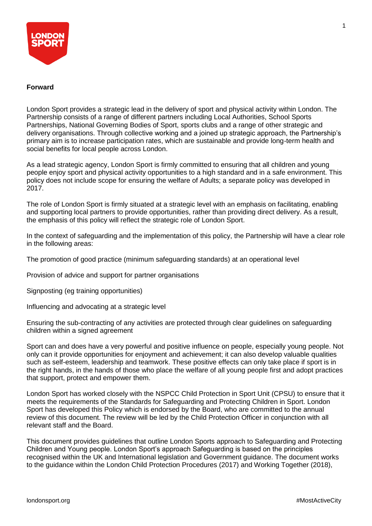

## **Forward**

London Sport provides a strategic lead in the delivery of sport and physical activity within London. The Partnership consists of a range of different partners including Local Authorities, School Sports Partnerships, National Governing Bodies of Sport, sports clubs and a range of other strategic and delivery organisations. Through collective working and a joined up strategic approach, the Partnership's primary aim is to increase participation rates, which are sustainable and provide long-term health and social benefits for local people across London.

As a lead strategic agency, London Sport is firmly committed to ensuring that all children and young people enjoy sport and physical activity opportunities to a high standard and in a safe environment. This policy does not include scope for ensuring the welfare of Adults; a separate policy was developed in 2017.

The role of London Sport is firmly situated at a strategic level with an emphasis on facilitating, enabling and supporting local partners to provide opportunities, rather than providing direct delivery. As a result, the emphasis of this policy will reflect the strategic role of London Sport.

In the context of safeguarding and the implementation of this policy, the Partnership will have a clear role in the following areas:

The promotion of good practice (minimum safeguarding standards) at an operational level

Provision of advice and support for partner organisations

Signposting (eg training opportunities)

Influencing and advocating at a strategic level

Ensuring the sub-contracting of any activities are protected through clear guidelines on safeguarding children within a signed agreement

Sport can and does have a very powerful and positive influence on people, especially young people. Not only can it provide opportunities for enjoyment and achievement; it can also develop valuable qualities such as self-esteem, leadership and teamwork. These positive effects can only take place if sport is in the right hands, in the hands of those who place the welfare of all young people first and adopt practices that support, protect and empower them.

London Sport has worked closely with the NSPCC Child Protection in Sport Unit (CPSU) to ensure that it meets the requirements of the Standards for Safeguarding and Protecting Children in Sport. London Sport has developed this Policy which is endorsed by the Board, who are committed to the annual review of this document. The review will be led by the Child Protection Officer in conjunction with all relevant staff and the Board.

This document provides guidelines that outline London Sports approach to Safeguarding and Protecting Children and Young people. London Sport's approach Safeguarding is based on the principles recognised within the UK and International legislation and Government guidance. The document works to the guidance within the London Child Protection Procedures (2017) and Working Together (2018),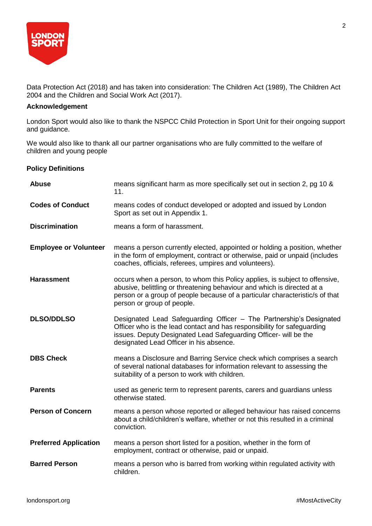

Data Protection Act (2018) and has taken into consideration: The Children Act (1989), The Children Act 2004 and the Children and Social Work Act (2017).

## **Acknowledgement**

London Sport would also like to thank the NSPCC Child Protection in Sport Unit for their ongoing support and guidance.

We would also like to thank all our partner organisations who are fully committed to the welfare of children and young people

## **Policy Definitions**

| <b>Abuse</b>                 | means significant harm as more specifically set out in section 2, pg 10 &<br>11.                                                                                                                                                                                     |
|------------------------------|----------------------------------------------------------------------------------------------------------------------------------------------------------------------------------------------------------------------------------------------------------------------|
| <b>Codes of Conduct</b>      | means codes of conduct developed or adopted and issued by London<br>Sport as set out in Appendix 1.                                                                                                                                                                  |
| <b>Discrimination</b>        | means a form of harassment.                                                                                                                                                                                                                                          |
| <b>Employee or Volunteer</b> | means a person currently elected, appointed or holding a position, whether<br>in the form of employment, contract or otherwise, paid or unpaid (includes<br>coaches, officials, referees, umpires and volunteers).                                                   |
| <b>Harassment</b>            | occurs when a person, to whom this Policy applies, is subject to offensive,<br>abusive, belittling or threatening behaviour and which is directed at a<br>person or a group of people because of a particular characteristic/s of that<br>person or group of people. |
| <b>DLSO/DDLSO</b>            | Designated Lead Safeguarding Officer - The Partnership's Designated<br>Officer who is the lead contact and has responsibility for safeguarding<br>issues. Deputy Designated Lead Safeguarding Officer- will be the<br>designated Lead Officer in his absence.        |
| <b>DBS Check</b>             | means a Disclosure and Barring Service check which comprises a search<br>of several national databases for information relevant to assessing the<br>suitability of a person to work with children.                                                                   |
| <b>Parents</b>               | used as generic term to represent parents, carers and guardians unless<br>otherwise stated.                                                                                                                                                                          |
| <b>Person of Concern</b>     | means a person whose reported or alleged behaviour has raised concerns<br>about a child/children's welfare, whether or not this resulted in a criminal<br>conviction.                                                                                                |
| <b>Preferred Application</b> | means a person short listed for a position, whether in the form of<br>employment, contract or otherwise, paid or unpaid.                                                                                                                                             |
| <b>Barred Person</b>         | means a person who is barred from working within regulated activity with<br>children.                                                                                                                                                                                |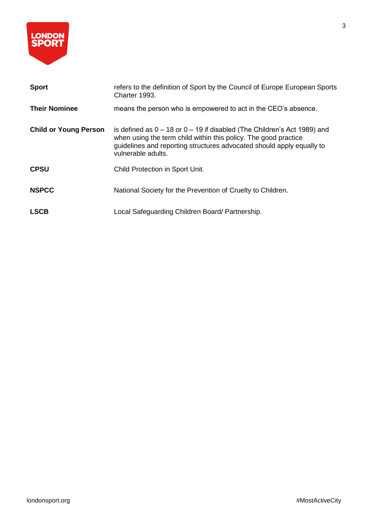

| <b>Sport</b>                 | refers to the definition of Sport by the Council of Europe European Sports<br>Charter 1993.                                                                                                                                                    |
|------------------------------|------------------------------------------------------------------------------------------------------------------------------------------------------------------------------------------------------------------------------------------------|
| <b>Their Nominee</b>         | means the person who is empowered to act in the CEO's absence.                                                                                                                                                                                 |
| <b>Child or Young Person</b> | is defined as $0 - 18$ or $0 - 19$ if disabled (The Children's Act 1989) and<br>when using the term child within this policy. The good practice<br>guidelines and reporting structures advocated should apply equally to<br>vulnerable adults. |
| <b>CPSU</b>                  | Child Protection in Sport Unit.                                                                                                                                                                                                                |
| <b>NSPCC</b>                 | National Society for the Prevention of Cruelty to Children.                                                                                                                                                                                    |
| <b>LSCB</b>                  | Local Safeguarding Children Board/ Partnership.                                                                                                                                                                                                |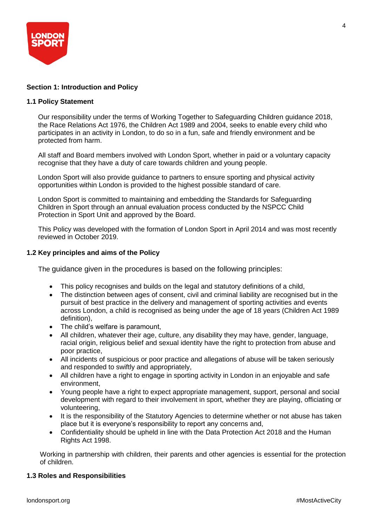

## **Section 1: Introduction and Policy**

## **1.1 Policy Statement**

Our responsibility under the terms of Working Together to Safeguarding Children guidance 2018, the Race Relations Act 1976, the Children Act 1989 and 2004, seeks to enable every child who participates in an activity in London, to do so in a fun, safe and friendly environment and be protected from harm.

All staff and Board members involved with London Sport, whether in paid or a voluntary capacity recognise that they have a duty of care towards children and young people.

London Sport will also provide guidance to partners to ensure sporting and physical activity opportunities within London is provided to the highest possible standard of care.

London Sport is committed to maintaining and embedding the Standards for Safeguarding Children in Sport through an annual evaluation process conducted by the NSPCC Child Protection in Sport Unit and approved by the Board.

This Policy was developed with the formation of London Sport in April 2014 and was most recently reviewed in October 2019.

## **1.2 Key principles and aims of the Policy**

The guidance given in the procedures is based on the following principles:

- This policy recognises and builds on the legal and statutory definitions of a child,
- The distinction between ages of consent, civil and criminal liability are recognised but in the pursuit of best practice in the delivery and management of sporting activities and events across London, a child is recognised as being under the age of 18 years (Children Act 1989 definition),
- The child's welfare is paramount,
- All children, whatever their age, culture, any disability they may have, gender, language, racial origin, religious belief and sexual identity have the right to protection from abuse and poor practice,
- All incidents of suspicious or poor practice and allegations of abuse will be taken seriously and responded to swiftly and appropriately,
- All children have a right to engage in sporting activity in London in an enjoyable and safe environment,
- Young people have a right to expect appropriate management, support, personal and social development with regard to their involvement in sport, whether they are playing, officiating or volunteering,
- It is the responsibility of the Statutory Agencies to determine whether or not abuse has taken place but it is everyone's responsibility to report any concerns and,
- Confidentiality should be upheld in line with the Data Protection Act 2018 and the Human Rights Act 1998.

Working in partnership with children, their parents and other agencies is essential for the protection of children.

#### **1.3 Roles and Responsibilities**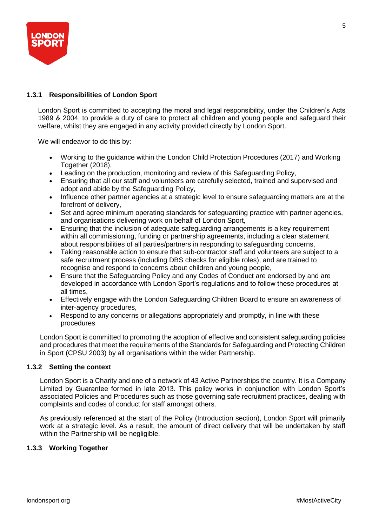

## **1.3.1 Responsibilities of London Sport**

London Sport is committed to accepting the moral and legal responsibility, under the Children's Acts 1989 & 2004, to provide a duty of care to protect all children and young people and safeguard their welfare, whilst they are engaged in any activity provided directly by London Sport.

We will endeavor to do this by:

- Working to the guidance within the London Child Protection Procedures (2017) and Working Together (2018),
- Leading on the production, monitoring and review of this Safeguarding Policy,
- Ensuring that all our staff and volunteers are carefully selected, trained and supervised and adopt and abide by the Safeguarding Policy,
- Influence other partner agencies at a strategic level to ensure safeguarding matters are at the forefront of delivery,
- Set and agree minimum operating standards for safeguarding practice with partner agencies, and organisations delivering work on behalf of London Sport,
- Ensuring that the inclusion of adequate safeguarding arrangements is a key requirement within all commissioning, funding or partnership agreements, including a clear statement about responsibilities of all parties/partners in responding to safeguarding concerns,
- Taking reasonable action to ensure that sub-contractor staff and volunteers are subject to a safe recruitment process (including DBS checks for eligible roles), and are trained to recognise and respond to concerns about children and young people,
- Ensure that the Safeguarding Policy and any Codes of Conduct are endorsed by and are developed in accordance with London Sport's regulations and to follow these procedures at all times,
- Effectively engage with the London Safeguarding Children Board to ensure an awareness of inter-agency procedures,
- Respond to any concerns or allegations appropriately and promptly, in line with these procedures

London Sport is committed to promoting the adoption of effective and consistent safeguarding policies and procedures that meet the requirements of the Standards for Safeguarding and Protecting Children in Sport (CPSU 2003) by all organisations within the wider Partnership.

## **1.3.2 Setting the context**

London Sport is a Charity and one of a network of 43 Active Partnerships the country. It is a Company Limited by Guarantee formed in late 2013. This policy works in conjunction with London Sport's associated Policies and Procedures such as those governing safe recruitment practices, dealing with complaints and codes of conduct for staff amongst others.

As previously referenced at the start of the Policy (Introduction section), London Sport will primarily work at a strategic level. As a result, the amount of direct delivery that will be undertaken by staff within the Partnership will be negligible.

#### **1.3.3 Working Together**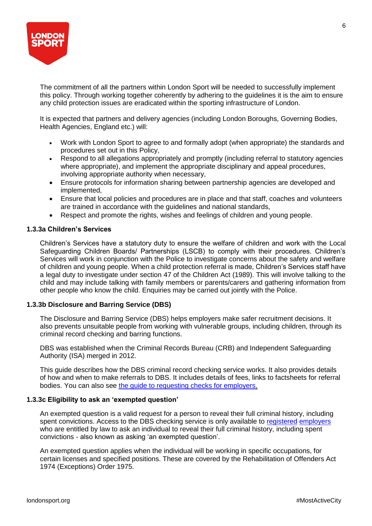

The commitment of all the partners within London Sport will be needed to successfully implement this policy. Through working together coherently by adhering to the guidelines it is the aim to ensure any child protection issues are eradicated within the sporting infrastructure of London.

It is expected that partners and delivery agencies (including London Boroughs, Governing Bodies, Health Agencies, England etc.) will:

- Work with London Sport to agree to and formally adopt (when appropriate) the standards and procedures set out in this Policy,
- Respond to all allegations appropriately and promptly (including referral to statutory agencies where appropriate), and implement the appropriate disciplinary and appeal procedures, involving appropriate authority when necessary,
- Ensure protocols for information sharing between partnership agencies are developed and implemented,
- Ensure that local policies and procedures are in place and that staff, coaches and volunteers are trained in accordance with the guidelines and national standards,
- Respect and promote the rights, wishes and feelings of children and young people.

## **1.3.3a Children's Services**

Children's Services have a statutory duty to ensure the welfare of children and work with the Local Safeguarding Children Boards/ Partnerships (LSCB) to comply with their procedures. Children's Services will work in conjunction with the Police to investigate concerns about the safety and welfare of children and young people. When a child protection referral is made, Children's Services staff have a legal duty to investigate under section 47 of the Children Act (1989). This will involve talking to the child and may include talking with family members or parents/carers and gathering information from other people who know the child. Enquiries may be carried out jointly with the Police.

## **1.3.3b Disclosure and Barring Service (DBS)**

The Disclosure and Barring Service (DBS) helps employers make safer recruitment decisions. It also prevents unsuitable people from working with vulnerable groups, including children, through its criminal record checking and barring functions.

DBS was established when the Criminal Records Bureau (CRB) and Independent Safeguarding Authority (ISA) merged in 2012.

This guide describes how the DBS criminal record checking service works. It also provides details of how and when to make referrals to DBS. It includes details of fees, links to factsheets for referral bodies. You can also see [the guide to requesting checks for employers.](https://www.gov.uk/dbs-check-requests-guidance-for-employers)

## **1.3.3c Eligibility to ask an 'exempted question'**

An exempted question is a valid request for a person to reveal their full criminal history, including spent convictions. Access to the DBS checking service is only available to [registered](https://www.gov.uk/dbs-check-requests-guidance-for-employers) [employers](https://www.gov.uk/dbs-check-requests-guidance-for-employers) who are entitled by law to ask an individual to reveal their full criminal history, including spent convictions - also known as asking 'an exempted question'.

An exempted question applies when the individual will be working in specific occupations, for certain licenses and specified positions. These are covered by the Rehabilitation of Offenders Act 1974 (Exceptions) Order 1975.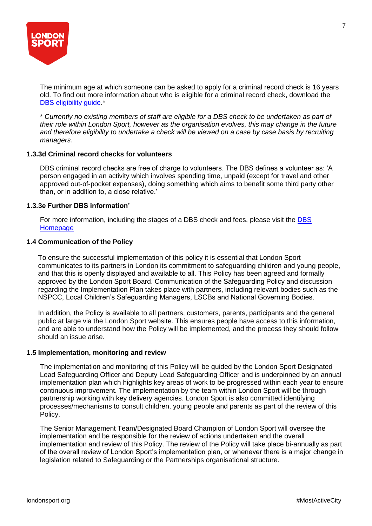

The minimum age at which someone can be asked to apply for a criminal record check is 16 years old. To find out more information about who is eligible for a criminal record check, download the DBS eligibility guide.<sup>\*</sup>

\* *Currently no existing members of staff are eligible for a DBS check to be undertaken as part of their role within London Sport, however as the organisation evolves, this may change in the future and therefore eligibility to undertake a check will be viewed on a case by case basis by recruiting managers.*

## **1.3.3d Criminal record checks for volunteers**

DBS criminal record checks are free of charge to volunteers. The DBS defines a volunteer as: 'A person engaged in an activity which involves spending time, unpaid (except for travel and other approved out-of-pocket expenses), doing something which aims to benefit some third party other than, or in addition to, a close relative.'

## **1.3.3e Further DBS information'**

For more information, including the stages of a [DBS](https://www.gov.uk/government/organisations/disclosure-and-barring-service) check and fees, please visit the DBS [Homepage](https://www.gov.uk/government/organisations/disclosure-and-barring-service)

## **1.4 Communication of the Policy**

To ensure the successful implementation of this policy it is essential that London Sport communicates to its partners in London its commitment to safeguarding children and young people, and that this is openly displayed and available to all. This Policy has been agreed and formally approved by the London Sport Board. Communication of the Safeguarding Policy and discussion regarding the Implementation Plan takes place with partners, including relevant bodies such as the NSPCC, Local Children's Safeguarding Managers, LSCBs and National Governing Bodies.

In addition, the Policy is available to all partners, customers, parents, participants and the general public at large via the London Sport website. This ensures people have access to this information, and are able to understand how the Policy will be implemented, and the process they should follow should an issue arise.

#### **1.5 Implementation, monitoring and review**

The implementation and monitoring of this Policy will be guided by the London Sport Designated Lead Safeguarding Officer and Deputy Lead Safeguarding Officer and is underpinned by an annual implementation plan which highlights key areas of work to be progressed within each year to ensure continuous improvement. The implementation by the team within London Sport will be through partnership working with key delivery agencies. London Sport is also committed identifying processes/mechanisms to consult children, young people and parents as part of the review of this Policy.

The Senior Management Team/Designated Board Champion of London Sport will oversee the implementation and be responsible for the review of actions undertaken and the overall implementation and review of this Policy. The review of the Policy will take place bi-annually as part of the overall review of London Sport's implementation plan, or whenever there is a major change in legislation related to Safeguarding or the Partnerships organisational structure.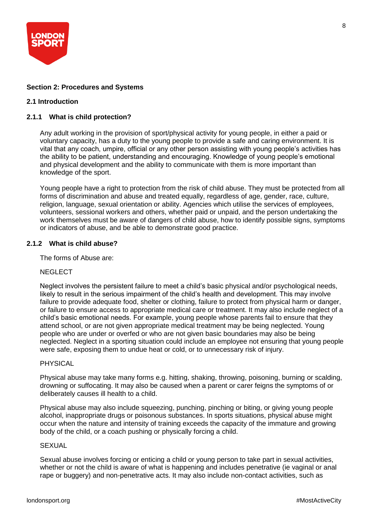

## **Section 2: Procedures and Systems**

## **2.1 Introduction**

## **2.1.1 What is child protection?**

Any adult working in the provision of sport/physical activity for young people, in either a paid or voluntary capacity, has a duty to the young people to provide a safe and caring environment. It is vital that any coach, umpire, official or any other person assisting with young people's activities has the ability to be patient, understanding and encouraging. Knowledge of young people's emotional and physical development and the ability to communicate with them is more important than knowledge of the sport.

Young people have a right to protection from the risk of child abuse. They must be protected from all forms of discrimination and abuse and treated equally, regardless of age, gender, race, culture, religion, language, sexual orientation or ability. Agencies which utilise the services of employees, volunteers, sessional workers and others, whether paid or unpaid, and the person undertaking the work themselves must be aware of dangers of child abuse, how to identify possible signs, symptoms or indicators of abuse, and be able to demonstrate good practice.

## **2.1.2 What is child abuse?**

The forms of Abuse are:

#### **NEGLECT**

Neglect involves the persistent failure to meet a child's basic physical and/or psychological needs, likely to result in the serious impairment of the child's health and development. This may involve failure to provide adequate food, shelter or clothing, failure to protect from physical harm or danger, or failure to ensure access to appropriate medical care or treatment. It may also include neglect of a child's basic emotional needs. For example, young people whose parents fail to ensure that they attend school, or are not given appropriate medical treatment may be being neglected. Young people who are under or overfed or who are not given basic boundaries may also be being neglected. Neglect in a sporting situation could include an employee not ensuring that young people were safe, exposing them to undue heat or cold, or to unnecessary risk of injury.

#### PHYSICAL

Physical abuse may take many forms e.g. hitting, shaking, throwing, poisoning, burning or scalding, drowning or suffocating. It may also be caused when a parent or carer feigns the symptoms of or deliberately causes ill health to a child.

Physical abuse may also include squeezing, punching, pinching or biting, or giving young people alcohol, inappropriate drugs or poisonous substances. In sports situations, physical abuse might occur when the nature and intensity of training exceeds the capacity of the immature and growing body of the child, or a coach pushing or physically forcing a child.

#### **SEXUAL**

Sexual abuse involves forcing or enticing a child or young person to take part in sexual activities, whether or not the child is aware of what is happening and includes penetrative (ie vaginal or anal rape or buggery) and non-penetrative acts. It may also include non-contact activities, such as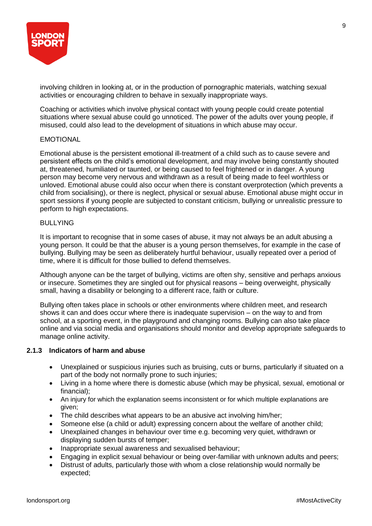

involving children in looking at, or in the production of pornographic materials, watching sexual activities or encouraging children to behave in sexually inappropriate ways.

Coaching or activities which involve physical contact with young people could create potential situations where sexual abuse could go unnoticed. The power of the adults over young people, if misused, could also lead to the development of situations in which abuse may occur.

## EMOTIONAL

Emotional abuse is the persistent emotional ill-treatment of a child such as to cause severe and persistent effects on the child's emotional development, and may involve being constantly shouted at, threatened, humiliated or taunted, or being caused to feel frightened or in danger. A young person may become very nervous and withdrawn as a result of being made to feel worthless or unloved. Emotional abuse could also occur when there is constant overprotection (which prevents a child from socialising), or there is neglect, physical or sexual abuse. Emotional abuse might occur in sport sessions if young people are subjected to constant criticism, bullying or unrealistic pressure to perform to high expectations.

## BULLYING

It is important to recognise that in some cases of abuse, it may not always be an adult abusing a young person. It could be that the abuser is a young person themselves, for example in the case of bullying. Bullying may be seen as deliberately hurtful behaviour, usually repeated over a period of time, where it is difficult for those bullied to defend themselves.

Although anyone can be the target of bullying, victims are often shy, sensitive and perhaps anxious or insecure. Sometimes they are singled out for physical reasons – being overweight, physically small, having a disability or belonging to a different race, faith or culture.

Bullying often takes place in schools or other environments where children meet, and research shows it can and does occur where there is inadequate supervision – on the way to and from school, at a sporting event, in the playground and changing rooms. Bullying can also take place online and via social media and organisations should monitor and develop appropriate safeguards to manage online activity.

#### **2.1.3 Indicators of harm and abuse**

- Unexplained or suspicious injuries such as bruising, cuts or burns, particularly if situated on a part of the body not normally prone to such injuries;
- Living in a home where there is domestic abuse (which may be physical, sexual, emotional or financial);
- An injury for which the explanation seems inconsistent or for which multiple explanations are given;
- The child describes what appears to be an abusive act involving him/her;
- Someone else (a child or adult) expressing concern about the welfare of another child;
- Unexplained changes in behaviour over time e.g. becoming very quiet, withdrawn or displaying sudden bursts of temper;
- Inappropriate sexual awareness and sexualised behaviour;
- Engaging in explicit sexual behaviour or being over-familiar with unknown adults and peers;
- Distrust of adults, particularly those with whom a close relationship would normally be expected;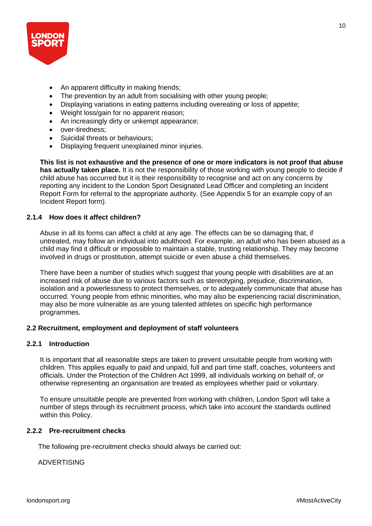

- An apparent difficulty in making friends;
- The prevention by an adult from socialising with other young people;
- Displaying variations in eating patterns including overeating or loss of appetite;
- Weight loss/gain for no apparent reason;
- An increasingly dirty or unkempt appearance;
- over-tiredness;
- Suicidal threats or behaviours;
- Displaying frequent unexplained minor injuries.

**This list is not exhaustive and the presence of one or more indicators is not proof that abuse has actually taken place.** It is not the responsibility of those working with young people to decide if child abuse has occurred but it is their responsibility to recognise and act on any concerns by reporting any incident to the London Sport Designated Lead Officer and completing an Incident Report Form for referral to the appropriate authority. (See Appendix 5 for an example copy of an Incident Report form).

## **2.1.4 How does it affect children?**

Abuse in all its forms can affect a child at any age. The effects can be so damaging that, if untreated, may follow an individual into adulthood. For example, an adult who has been abused as a child may find it difficult or impossible to maintain a stable, trusting relationship. They may become involved in drugs or prostitution, attempt suicide or even abuse a child themselves.

There have been a number of studies which suggest that young people with disabilities are at an increased risk of abuse due to various factors such as stereotyping, prejudice, discrimination, isolation and a powerlessness to protect themselves, or to adequately communicate that abuse has occurred. Young people from ethnic minorities, who may also be experiencing racial discrimination, may also be more vulnerable as are young talented athletes on specific high performance programmes.

## **2.2 Recruitment, employment and deployment of staff volunteers**

## **2.2.1 Introduction**

It is important that all reasonable steps are taken to prevent unsuitable people from working with children. This applies equally to paid and unpaid, full and part time staff, coaches, volunteers and officials. Under the Protection of the Children Act 1999, all individuals working on behalf of, or otherwise representing an organisation are treated as employees whether paid or voluntary.

To ensure unsuitable people are prevented from working with children, London Sport will take a number of steps through its recruitment process, which take into account the standards outlined within this Policy.

## **2.2.2 Pre-recruitment checks**

The following pre-recruitment checks should always be carried out:

ADVERTISING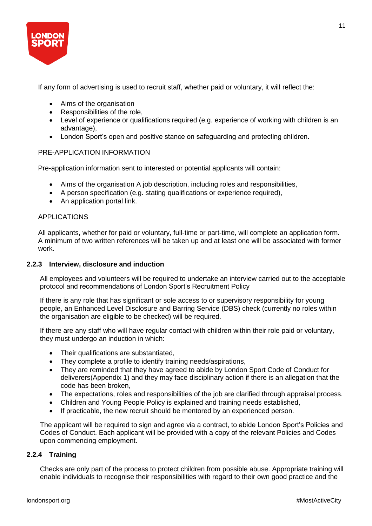

If any form of advertising is used to recruit staff, whether paid or voluntary, it will reflect the:

- Aims of the organisation
- Responsibilities of the role,
- Level of experience or qualifications required (e.g. experience of working with children is an advantage),
- London Sport's open and positive stance on safeguarding and protecting children.

## PRE-APPLICATION INFORMATION

Pre-application information sent to interested or potential applicants will contain:

- Aims of the organisation A job description, including roles and responsibilities,
- A person specification (e.g. stating qualifications or experience required),
- An application portal link.

## APPLICATIONS

All applicants, whether for paid or voluntary, full-time or part-time, will complete an application form. A minimum of two written references will be taken up and at least one will be associated with former work.

## **2.2.3 Interview, disclosure and induction**

All employees and volunteers will be required to undertake an interview carried out to the acceptable protocol and recommendations of London Sport's Recruitment Policy

If there is any role that has significant or sole access to or supervisory responsibility for young people, an Enhanced Level Disclosure and Barring Service (DBS) check (currently no roles within the organisation are eligible to be checked) will be required.

If there are any staff who will have regular contact with children within their role paid or voluntary, they must undergo an induction in which:

- Their qualifications are substantiated,
- They complete a profile to identify training needs/aspirations,
- They are reminded that they have agreed to abide by London Sport Code of Conduct for deliverers(Appendix 1) and they may face disciplinary action if there is an allegation that the code has been broken,
- The expectations, roles and responsibilities of the job are clarified through appraisal process.
- Children and Young People Policy is explained and training needs established,
- If practicable, the new recruit should be mentored by an experienced person.

The applicant will be required to sign and agree via a contract, to abide London Sport's Policies and Codes of Conduct. Each applicant will be provided with a copy of the relevant Policies and Codes upon commencing employment.

## **2.2.4 Training**

Checks are only part of the process to protect children from possible abuse. Appropriate training will enable individuals to recognise their responsibilities with regard to their own good practice and the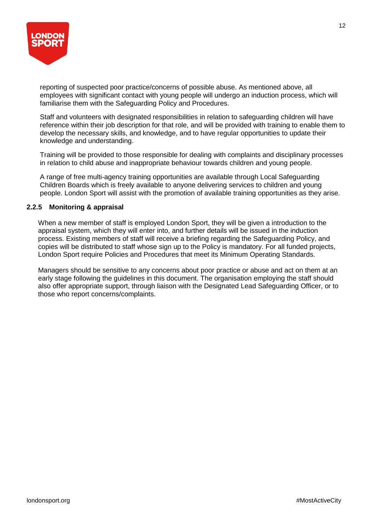

reporting of suspected poor practice/concerns of possible abuse. As mentioned above, all employees with significant contact with young people will undergo an induction process, which will familiarise them with the Safeguarding Policy and Procedures.

Staff and volunteers with designated responsibilities in relation to safeguarding children will have reference within their job description for that role, and will be provided with training to enable them to develop the necessary skills, and knowledge, and to have regular opportunities to update their knowledge and understanding.

Training will be provided to those responsible for dealing with complaints and disciplinary processes in relation to child abuse and inappropriate behaviour towards children and young people.

A range of free multi-agency training opportunities are available through Local Safeguarding Children Boards which is freely available to anyone delivering services to children and young people. London Sport will assist with the promotion of available training opportunities as they arise.

## **2.2.5 Monitoring & appraisal**

When a new member of staff is employed London Sport, they will be given a introduction to the appraisal system, which they will enter into, and further details will be issued in the induction process. Existing members of staff will receive a briefing regarding the Safeguarding Policy, and copies will be distributed to staff whose sign up to the Policy is mandatory. For all funded projects, London Sport require Policies and Procedures that meet its Minimum Operating Standards.

Managers should be sensitive to any concerns about poor practice or abuse and act on them at an early stage following the guidelines in this document. The organisation employing the staff should also offer appropriate support, through liaison with the Designated Lead Safeguarding Officer, or to those who report concerns/complaints.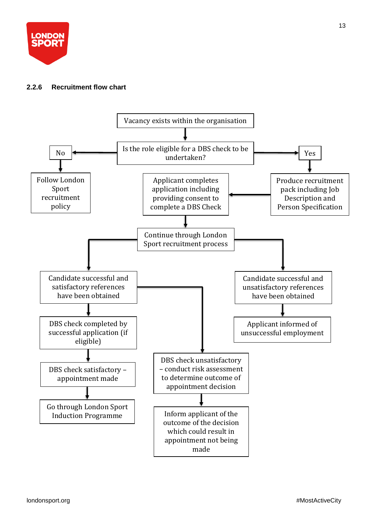

## **2.2.6 Recruitment flow chart**

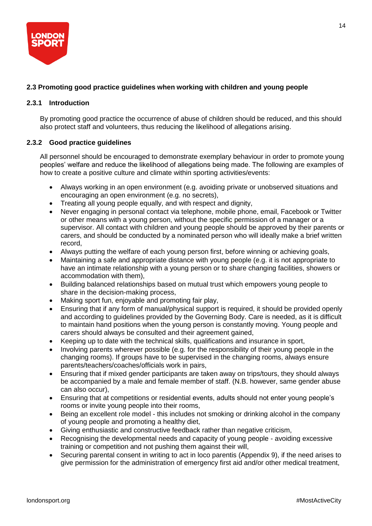

## **2.3 Promoting good practice guidelines when working with children and young people**

## **2.3.1 Introduction**

By promoting good practice the occurrence of abuse of children should be reduced, and this should also protect staff and volunteers, thus reducing the likelihood of allegations arising.

## **2.3.2 Good practice guidelines**

All personnel should be encouraged to demonstrate exemplary behaviour in order to promote young peoples' welfare and reduce the likelihood of allegations being made. The following are examples of how to create a positive culture and climate within sporting activities/events:

- Always working in an open environment (e.g. avoiding private or unobserved situations and encouraging an open environment (e.g. no secrets),
- Treating all young people equally, and with respect and dignity,
- Never engaging in personal contact via telephone, mobile phone, email, Facebook or Twitter or other means with a young person, without the specific permission of a manager or a supervisor. All contact with children and young people should be approved by their parents or carers, and should be conducted by a nominated person who will ideally make a brief written record,
- Always putting the welfare of each young person first, before winning or achieving goals,
- Maintaining a safe and appropriate distance with young people (e.g. it is not appropriate to have an intimate relationship with a young person or to share changing facilities, showers or accommodation with them),
- Building balanced relationships based on mutual trust which empowers young people to share in the decision-making process,
- Making sport fun, enjoyable and promoting fair play,
- Ensuring that if any form of manual/physical support is required, it should be provided openly and according to guidelines provided by the Governing Body. Care is needed, as it is difficult to maintain hand positions when the young person is constantly moving. Young people and carers should always be consulted and their agreement gained,
- Keeping up to date with the technical skills, qualifications and insurance in sport,
- Involving parents wherever possible (e.g. for the responsibility of their young people in the changing rooms). If groups have to be supervised in the changing rooms, always ensure parents/teachers/coaches/officials work in pairs,
- Ensuring that if mixed gender participants are taken away on trips/tours, they should always be accompanied by a male and female member of staff. (N.B. however, same gender abuse can also occur),
- Ensuring that at competitions or residential events, adults should not enter young people's rooms or invite young people into their rooms,
- Being an excellent role model this includes not smoking or drinking alcohol in the company of young people and promoting a healthy diet,
- Giving enthusiastic and constructive feedback rather than negative criticism,
- Recognising the developmental needs and capacity of young people avoiding excessive training or competition and not pushing them against their will,
- Securing parental consent in writing to act in loco parentis (Appendix 9), if the need arises to give permission for the administration of emergency first aid and/or other medical treatment,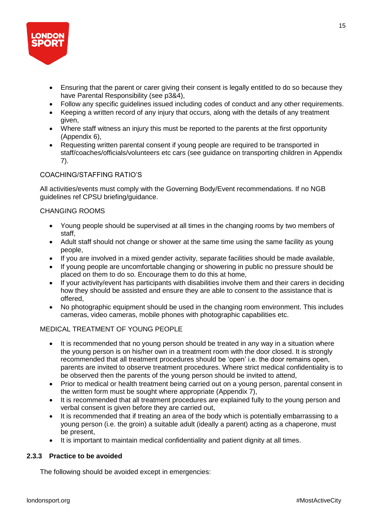

- Ensuring that the parent or carer giving their consent is legally entitled to do so because they have Parental Responsibility (see p3&4),
- Follow any specific guidelines issued including codes of conduct and any other requirements.
- Keeping a written record of any injury that occurs, along with the details of any treatment given,
- Where staff witness an injury this must be reported to the parents at the first opportunity (Appendix 6),
- Requesting written parental consent if young people are required to be transported in staff/coaches/officials/volunteers etc cars (see guidance on transporting children in Appendix 7).

## COACHING/STAFFING RATIO'S

All activities/events must comply with the Governing Body/Event recommendations. If no NGB guidelines ref CPSU briefing/guidance.

## CHANGING ROOMS

- Young people should be supervised at all times in the changing rooms by two members of staff,
- Adult staff should not change or shower at the same time using the same facility as young people,
- If you are involved in a mixed gender activity, separate facilities should be made available,
- If young people are uncomfortable changing or showering in public no pressure should be placed on them to do so. Encourage them to do this at home,
- If your activity/event has participants with disabilities involve them and their carers in deciding how they should be assisted and ensure they are able to consent to the assistance that is offered,
- No photographic equipment should be used in the changing room environment. This includes cameras, video cameras, mobile phones with photographic capabilities etc.

## MEDICAL TREATMENT OF YOUNG PEOPLE

- It is recommended that no young person should be treated in any way in a situation where the young person is on his/her own in a treatment room with the door closed. It is strongly recommended that all treatment procedures should be 'open' i.e. the door remains open, parents are invited to observe treatment procedures. Where strict medical confidentiality is to be observed then the parents of the young person should be invited to attend,
- Prior to medical or health treatment being carried out on a young person, parental consent in the written form must be sought where appropriate (Appendix 7),
- It is recommended that all treatment procedures are explained fully to the young person and verbal consent is given before they are carried out,
- It is recommended that if treating an area of the body which is potentially embarrassing to a young person (i.e. the groin) a suitable adult (ideally a parent) acting as a chaperone, must be present,
- It is important to maintain medical confidentiality and patient dignity at all times.

## **2.3.3 Practice to be avoided**

The following should be avoided except in emergencies: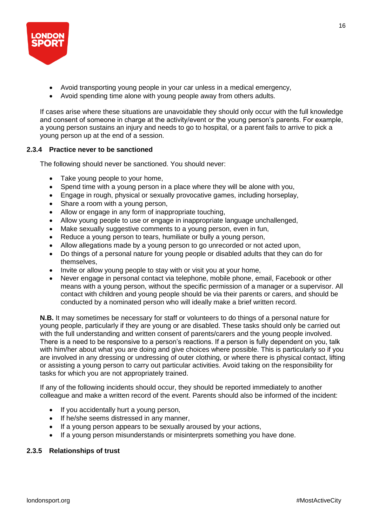

- Avoid transporting young people in your car unless in a medical emergency,
- Avoid spending time alone with young people away from others adults.

If cases arise where these situations are unavoidable they should only occur with the full knowledge and consent of someone in charge at the activity/event or the young person's parents. For example, a young person sustains an injury and needs to go to hospital, or a parent fails to arrive to pick a young person up at the end of a session.

## **2.3.4 Practice never to be sanctioned**

The following should never be sanctioned. You should never:

- Take young people to your home,
- Spend time with a young person in a place where they will be alone with you,
- Engage in rough, physical or sexually provocative games, including horseplay,
- Share a room with a young person,
- Allow or engage in any form of inappropriate touching,
- Allow young people to use or engage in inappropriate language unchallenged,
- Make sexually suggestive comments to a young person, even in fun,
- Reduce a young person to tears, humiliate or bully a young person,
- Allow allegations made by a young person to go unrecorded or not acted upon,
- Do things of a personal nature for young people or disabled adults that they can do for themselves,
- Invite or allow young people to stay with or visit you at your home,
- Never engage in personal contact via telephone, mobile phone, email, Facebook or other means with a young person, without the specific permission of a manager or a supervisor. All contact with children and young people should be via their parents or carers, and should be conducted by a nominated person who will ideally make a brief written record.

**N.B.** It may sometimes be necessary for staff or volunteers to do things of a personal nature for young people, particularly if they are young or are disabled. These tasks should only be carried out with the full understanding and written consent of parents/carers and the young people involved. There is a need to be responsive to a person's reactions. If a person is fully dependent on you, talk with him/her about what you are doing and give choices where possible. This is particularly so if you are involved in any dressing or undressing of outer clothing, or where there is physical contact, lifting or assisting a young person to carry out particular activities. Avoid taking on the responsibility for tasks for which you are not appropriately trained.

If any of the following incidents should occur, they should be reported immediately to another colleague and make a written record of the event. Parents should also be informed of the incident:

- If you accidentally hurt a young person,
- If he/she seems distressed in any manner,
- If a young person appears to be sexually aroused by your actions,
- If a young person misunderstands or misinterprets something you have done.

## **2.3.5 Relationships of trust**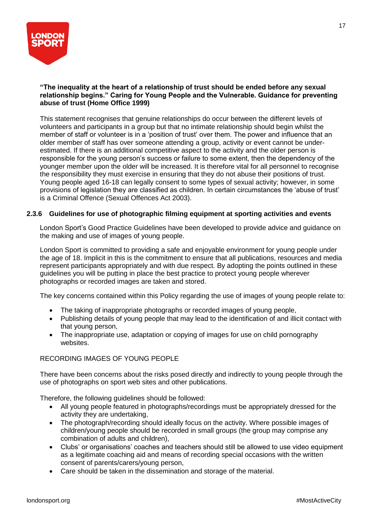

## **"The inequality at the heart of a relationship of trust should be ended before any sexual relationship begins." Caring for Young People and the Vulnerable. Guidance for preventing abuse of trust (Home Office 1999)**

This statement recognises that genuine relationships do occur between the different levels of volunteers and participants in a group but that no intimate relationship should begin whilst the member of staff or volunteer is in a 'position of trust' over them. The power and influence that an older member of staff has over someone attending a group, activity or event cannot be underestimated. If there is an additional competitive aspect to the activity and the older person is responsible for the young person's success or failure to some extent, then the dependency of the younger member upon the older will be increased. It is therefore vital for all personnel to recognise the responsibility they must exercise in ensuring that they do not abuse their positions of trust. Young people aged 16-18 can legally consent to some types of sexual activity; however, in some provisions of legislation they are classified as children. In certain circumstances the 'abuse of trust' is a Criminal Offence (Sexual Offences Act 2003).

## **2.3.6 Guidelines for use of photographic filming equipment at sporting activities and events**

London Sport's Good Practice Guidelines have been developed to provide advice and guidance on the making and use of images of young people.

London Sport is committed to providing a safe and enjoyable environment for young people under the age of 18. Implicit in this is the commitment to ensure that all publications, resources and media represent participants appropriately and with due respect. By adopting the points outlined in these guidelines you will be putting in place the best practice to protect young people wherever photographs or recorded images are taken and stored.

The key concerns contained within this Policy regarding the use of images of young people relate to:

- The taking of inappropriate photographs or recorded images of young people,
- Publishing details of young people that may lead to the identification of and illicit contact with that young person,
- The inappropriate use, adaptation or copying of images for use on child pornography websites.

#### RECORDING IMAGES OF YOUNG PEOPLE

There have been concerns about the risks posed directly and indirectly to young people through the use of photographs on sport web sites and other publications.

Therefore, the following guidelines should be followed:

- All young people featured in photographs/recordings must be appropriately dressed for the activity they are undertaking,
- The photograph/recording should ideally focus on the activity. Where possible images of children/young people should be recorded in small groups (the group may comprise any combination of adults and children),
- Clubs' or organisations' coaches and teachers should still be allowed to use video equipment as a legitimate coaching aid and means of recording special occasions with the written consent of parents/carers/young person,
- Care should be taken in the dissemination and storage of the material.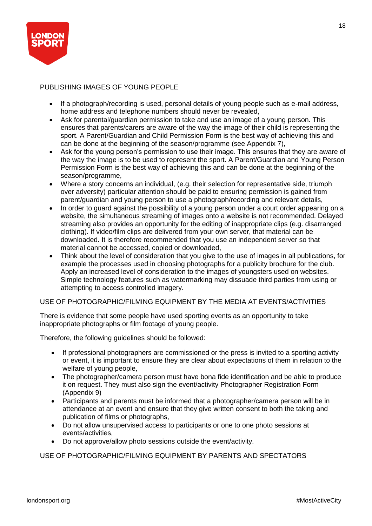

## PUBLISHING IMAGES OF YOUNG PEOPLE

- If a photograph/recording is used, personal details of young people such as e-mail address, home address and telephone numbers should never be revealed,
- Ask for parental/guardian permission to take and use an image of a young person. This ensures that parents/carers are aware of the way the image of their child is representing the sport. A Parent/Guardian and Child Permission Form is the best way of achieving this and can be done at the beginning of the season/programme (see Appendix 7),
- Ask for the young person's permission to use their image. This ensures that they are aware of the way the image is to be used to represent the sport. A Parent/Guardian and Young Person Permission Form is the best way of achieving this and can be done at the beginning of the season/programme,
- Where a story concerns an individual, (e.g. their selection for representative side, triumph over adversity) particular attention should be paid to ensuring permission is gained from parent/guardian and young person to use a photograph/recording and relevant details,
- In order to guard against the possibility of a young person under a court order appearing on a website, the simultaneous streaming of images onto a website is not recommended. Delayed streaming also provides an opportunity for the editing of inappropriate clips (e.g. disarranged clothing). If video/film clips are delivered from your own server, that material can be downloaded. It is therefore recommended that you use an independent server so that material cannot be accessed, copied or downloaded,
- Think about the level of consideration that you give to the use of images in all publications, for example the processes used in choosing photographs for a publicity brochure for the club. Apply an increased level of consideration to the images of youngsters used on websites. Simple technology features such as watermarking may dissuade third parties from using or attempting to access controlled imagery.

## USE OF PHOTOGRAPHIC/FILMING EQUIPMENT BY THE MEDIA AT EVENTS/ACTIVITIES

There is evidence that some people have used sporting events as an opportunity to take inappropriate photographs or film footage of young people.

Therefore, the following guidelines should be followed:

- If professional photographers are commissioned or the press is invited to a sporting activity or event, it is important to ensure they are clear about expectations of them in relation to the welfare of young people,
- The photographer/camera person must have bona fide identification and be able to produce it on request. They must also sign the event/activity Photographer Registration Form (Appendix 9)
- Participants and parents must be informed that a photographer/camera person will be in attendance at an event and ensure that they give written consent to both the taking and publication of films or photographs,
- Do not allow unsupervised access to participants or one to one photo sessions at events/activities,
- Do not approve/allow photo sessions outside the event/activity.

USE OF PHOTOGRAPHIC/FILMING EQUIPMENT BY PARENTS AND SPECTATORS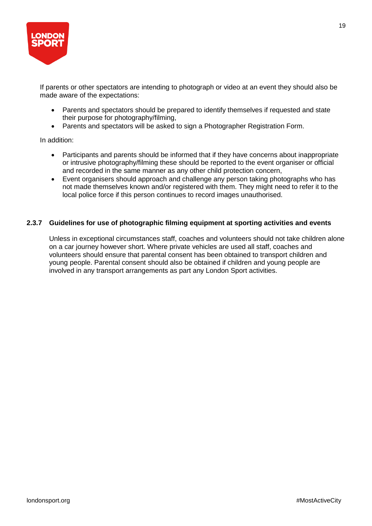

If parents or other spectators are intending to photograph or video at an event they should also be made aware of the expectations:

- Parents and spectators should be prepared to identify themselves if requested and state their purpose for photography/filming,
- Parents and spectators will be asked to sign a Photographer Registration Form.

In addition:

- Participants and parents should be informed that if they have concerns about inappropriate or intrusive photography/filming these should be reported to the event organiser or official and recorded in the same manner as any other child protection concern,
- Event organisers should approach and challenge any person taking photographs who has not made themselves known and/or registered with them. They might need to refer it to the local police force if this person continues to record images unauthorised.

## **2.3.7 Guidelines for use of photographic filming equipment at sporting activities and events**

Unless in exceptional circumstances staff, coaches and volunteers should not take children alone on a car journey however short. Where private vehicles are used all staff, coaches and volunteers should ensure that parental consent has been obtained to transport children and young people. Parental consent should also be obtained if children and young people are involved in any transport arrangements as part any London Sport activities.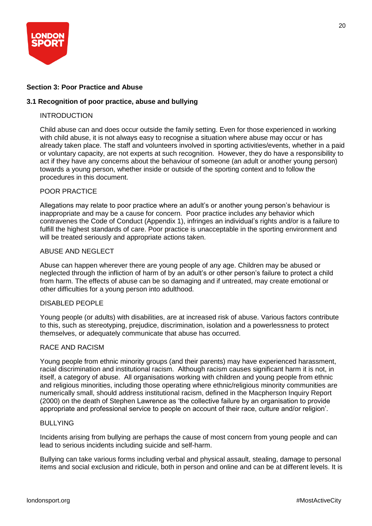

## **Section 3: Poor Practice and Abuse**

## **3.1 Recognition of poor practice, abuse and bullying**

#### **INTRODUCTION**

Child abuse can and does occur outside the family setting. Even for those experienced in working with child abuse, it is not always easy to recognise a situation where abuse may occur or has already taken place. The staff and volunteers involved in sporting activities/events, whether in a paid or voluntary capacity, are not experts at such recognition. However, they do have a responsibility to act if they have any concerns about the behaviour of someone (an adult or another young person) towards a young person, whether inside or outside of the sporting context and to follow the procedures in this document.

#### POOR PRACTICE

Allegations may relate to poor practice where an adult's or another young person's behaviour is inappropriate and may be a cause for concern. Poor practice includes any behavior which contravenes the Code of Conduct (Appendix 1), infringes an individual's rights and/or is a failure to fulfill the highest standards of care. Poor practice is unacceptable in the sporting environment and will be treated seriously and appropriate actions taken.

#### ABUSE AND NEGLECT

Abuse can happen wherever there are young people of any age. Children may be abused or neglected through the infliction of harm of by an adult's or other person's failure to protect a child from harm. The effects of abuse can be so damaging and if untreated, may create emotional or other difficulties for a young person into adulthood.

#### DISABLED PEOPLE

Young people (or adults) with disabilities, are at increased risk of abuse. Various factors contribute to this, such as stereotyping, prejudice, discrimination, isolation and a powerlessness to protect themselves, or adequately communicate that abuse has occurred.

#### RACE AND RACISM

Young people from ethnic minority groups (and their parents) may have experienced harassment, racial discrimination and institutional racism. Although racism causes significant harm it is not, in itself, a category of abuse. All organisations working with children and young people from ethnic and religious minorities, including those operating where ethnic/religious minority communities are numerically small, should address institutional racism, defined in the Macpherson Inquiry Report (2000) on the death of Stephen Lawrence as 'the collective failure by an organisation to provide appropriate and professional service to people on account of their race, culture and/or religion'.

#### **BULLYING**

Incidents arising from bullying are perhaps the cause of most concern from young people and can lead to serious incidents including suicide and self-harm.

Bullying can take various forms including verbal and physical assault, stealing, damage to personal items and social exclusion and ridicule, both in person and online and can be at different levels. It is

20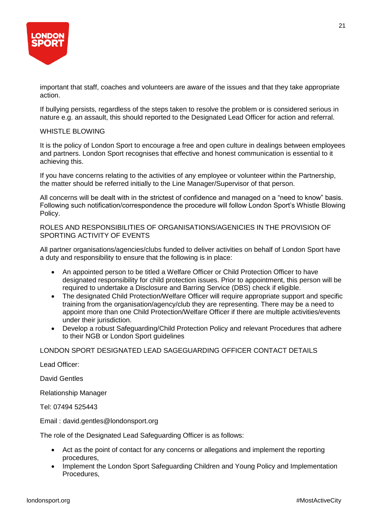

important that staff, coaches and volunteers are aware of the issues and that they take appropriate action.

If bullying persists, regardless of the steps taken to resolve the problem or is considered serious in nature e.g. an assault, this should reported to the Designated Lead Officer for action and referral.

#### WHISTLE BLOWING

It is the policy of London Sport to encourage a free and open culture in dealings between employees and partners. London Sport recognises that effective and honest communication is essential to it achieving this.

If you have concerns relating to the activities of any employee or volunteer within the Partnership, the matter should be referred initially to the Line Manager/Supervisor of that person.

All concerns will be dealt with in the strictest of confidence and managed on a "need to know" basis. Following such notification/correspondence the procedure will follow London Sport's Whistle Blowing Policy.

ROLES AND RESPONSIBILITIES OF ORGANISATIONS/AGENICIES IN THE PROVISION OF SPORTING ACTIVITY OF EVENTS

All partner organisations/agencies/clubs funded to deliver activities on behalf of London Sport have a duty and responsibility to ensure that the following is in place:

- An appointed person to be titled a Welfare Officer or Child Protection Officer to have designated responsibility for child protection issues. Prior to appointment, this person will be required to undertake a Disclosure and Barring Service (DBS) check if eligible.
- The designated Child Protection/Welfare Officer will require appropriate support and specific training from the organisation/agency/club they are representing. There may be a need to appoint more than one Child Protection/Welfare Officer if there are multiple activities/events under their jurisdiction.
- Develop a robust Safeguarding/Child Protection Policy and relevant Procedures that adhere to their NGB or London Sport guidelines

## LONDON SPORT DESIGNATED LEAD SAGEGUARDING OFFICER CONTACT DETAILS

Lead Officer:

David Gentles

Relationship Manager

Tel: 07494 525443

Email : david.gentles@londonsport.org

The role of the Designated Lead Safeguarding Officer is as follows:

- Act as the point of contact for any concerns or allegations and implement the reporting procedures,
- Implement the London Sport Safeguarding Children and Young Policy and Implementation Procedures,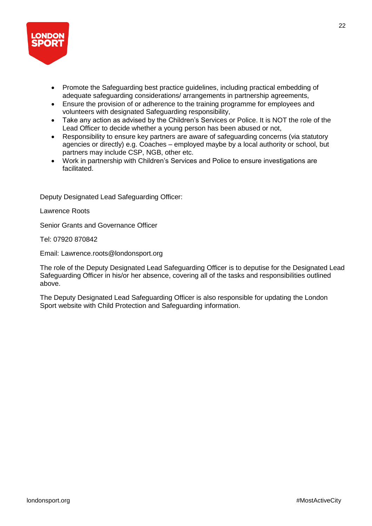

- Promote the Safeguarding best practice guidelines, including practical embedding of adequate safeguarding considerations/ arrangements in partnership agreements,
- Ensure the provision of or adherence to the training programme for employees and volunteers with designated Safeguarding responsibility,
- Take any action as advised by the Children's Services or Police. It is NOT the role of the Lead Officer to decide whether a young person has been abused or not,
- Responsibility to ensure key partners are aware of safeguarding concerns (via statutory agencies or directly) e.g. Coaches – employed maybe by a local authority or school, but partners may include CSP, NGB, other etc.
- Work in partnership with Children's Services and Police to ensure investigations are facilitated.

Deputy Designated Lead Safeguarding Officer:

Lawrence Roots

Senior Grants and Governance Officer

Tel: 07920 870842

Email: Lawrence.roots@londonsport.org

The role of the Deputy Designated Lead Safeguarding Officer is to deputise for the Designated Lead Safeguarding Officer in his/or her absence, covering all of the tasks and responsibilities outlined above.

The Deputy Designated Lead Safeguarding Officer is also responsible for updating the London Sport website with Child Protection and Safeguarding information.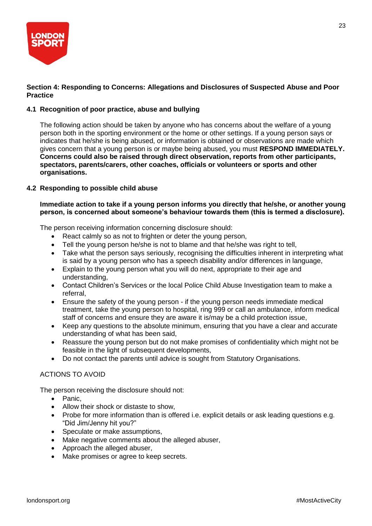

## **Section 4: Responding to Concerns: Allegations and Disclosures of Suspected Abuse and Poor Practice**

## **4.1 Recognition of poor practice, abuse and bullying**

The following action should be taken by anyone who has concerns about the welfare of a young person both in the sporting environment or the home or other settings. If a young person says or indicates that he/she is being abused, or information is obtained or observations are made which gives concern that a young person is or maybe being abused, you must **RESPOND IMMEDIATELY. Concerns could also be raised through direct observation, reports from other participants, spectators, parents/carers, other coaches, officials or volunteers or sports and other organisations.**

## **4.2 Responding to possible child abuse**

## **Immediate action to take if a young person informs you directly that he/she, or another young person, is concerned about someone's behaviour towards them (this is termed a disclosure).**

The person receiving information concerning disclosure should:

- React calmly so as not to frighten or deter the young person,
- Tell the young person he/she is not to blame and that he/she was right to tell,
- Take what the person says seriously, recognising the difficulties inherent in interpreting what is said by a young person who has a speech disability and/or differences in language,
- Explain to the young person what you will do next, appropriate to their age and understanding,
- Contact Children's Services or the local Police Child Abuse Investigation team to make a referral,
- Ensure the safety of the young person if the young person needs immediate medical treatment, take the young person to hospital, ring 999 or call an ambulance, inform medical staff of concerns and ensure they are aware it is/may be a child protection issue,
- Keep any questions to the absolute minimum, ensuring that you have a clear and accurate understanding of what has been said,
- Reassure the young person but do not make promises of confidentiality which might not be feasible in the light of subsequent developments,
- Do not contact the parents until advice is sought from Statutory Organisations.

## ACTIONS TO AVOID

The person receiving the disclosure should not:

- Panic,
- Allow their shock or distaste to show,
- Probe for more information than is offered i.e. explicit details or ask leading questions e.g. "Did Jim/Jenny hit you?"
- Speculate or make assumptions,
- Make negative comments about the alleged abuser,
- Approach the alleged abuser,
- Make promises or agree to keep secrets.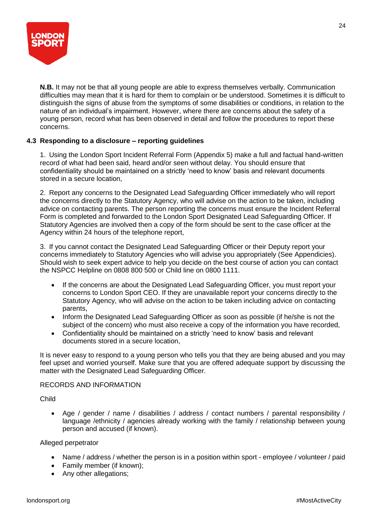

**N.B.** It may not be that all young people are able to express themselves verbally. Communication difficulties may mean that it is hard for them to complain or be understood. Sometimes it is difficult to distinguish the signs of abuse from the symptoms of some disabilities or conditions, in relation to the nature of an individual's impairment. However, where there are concerns about the safety of a young person, record what has been observed in detail and follow the procedures to report these concerns.

## **4.3 Responding to a disclosure – reporting guidelines**

1. Using the London Sport Incident Referral Form (Appendix 5) make a full and factual hand-written record of what had been said, heard and/or seen without delay. You should ensure that confidentiality should be maintained on a strictly 'need to know' basis and relevant documents stored in a secure location,

2. Report any concerns to the Designated Lead Safeguarding Officer immediately who will report the concerns directly to the Statutory Agency, who will advise on the action to be taken, including advice on contacting parents. The person reporting the concerns must ensure the Incident Referral Form is completed and forwarded to the London Sport Designated Lead Safeguarding Officer. If Statutory Agencies are involved then a copy of the form should be sent to the case officer at the Agency within 24 hours of the telephone report,

3. If you cannot contact the Designated Lead Safeguarding Officer or their Deputy report your concerns immediately to Statutory Agencies who will advise you appropriately (See Appendicies). Should wish to seek expert advice to help you decide on the best course of action you can contact the NSPCC Helpline on 0808 800 500 or Child line on 0800 1111.

- If the concerns are about the Designated Lead Safeguarding Officer, you must report your concerns to London Sport CEO. If they are unavailable report your concerns directly to the Statutory Agency, who will advise on the action to be taken including advice on contacting parents,
- Inform the Designated Lead Safeguarding Officer as soon as possible (if he/she is not the subject of the concern) who must also receive a copy of the information you have recorded,
- Confidentiality should be maintained on a strictly 'need to know' basis and relevant documents stored in a secure location,

It is never easy to respond to a young person who tells you that they are being abused and you may feel upset and worried yourself. Make sure that you are offered adequate support by discussing the matter with the Designated Lead Safeguarding Officer.

## RECORDS AND INFORMATION

Child

• Age / gender / name / disabilities / address / contact numbers / parental responsibility / language /ethnicity / agencies already working with the family / relationship between young person and accused (if known).

#### Alleged perpetrator

- Name / address / whether the person is in a position within sport employee / volunteer / paid
- Family member (if known);
- Any other allegations;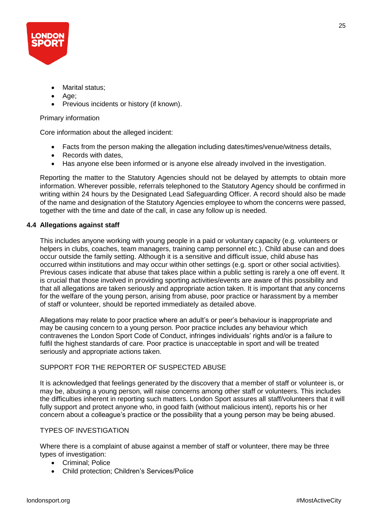

- Marital status:
- Age;
- Previous incidents or history (if known).

## Primary information

Core information about the alleged incident:

- Facts from the person making the allegation including dates/times/venue/witness details,
- Records with dates.
- Has anyone else been informed or is anyone else already involved in the investigation.

Reporting the matter to the Statutory Agencies should not be delayed by attempts to obtain more information. Wherever possible, referrals telephoned to the Statutory Agency should be confirmed in writing within 24 hours by the Designated Lead Safeguarding Officer. A record should also be made of the name and designation of the Statutory Agencies employee to whom the concerns were passed, together with the time and date of the call, in case any follow up is needed.

#### **4.4 Allegations against staff**

This includes anyone working with young people in a paid or voluntary capacity (e.g. volunteers or helpers in clubs, coaches, team managers, training camp personnel etc.). Child abuse can and does occur outside the family setting. Although it is a sensitive and difficult issue, child abuse has occurred within institutions and may occur within other settings (e.g. sport or other social activities). Previous cases indicate that abuse that takes place within a public setting is rarely a one off event. It is crucial that those involved in providing sporting activities/events are aware of this possibility and that all allegations are taken seriously and appropriate action taken. It is important that any concerns for the welfare of the young person, arising from abuse, poor practice or harassment by a member of staff or volunteer, should be reported immediately as detailed above.

Allegations may relate to poor practice where an adult's or peer's behaviour is inappropriate and may be causing concern to a young person. Poor practice includes any behaviour which contravenes the London Sport Code of Conduct, infringes individuals' rights and/or is a failure to fulfil the highest standards of care. Poor practice is unacceptable in sport and will be treated seriously and appropriate actions taken.

## SUPPORT FOR THE REPORTER OF SUSPECTED ABUSE

It is acknowledged that feelings generated by the discovery that a member of staff or volunteer is, or may be, abusing a young person, will raise concerns among other staff or volunteers. This includes the difficulties inherent in reporting such matters. London Sport assures all staff/volunteers that it will fully support and protect anyone who, in good faith (without malicious intent), reports his or her concern about a colleague's practice or the possibility that a young person may be being abused.

#### TYPES OF INVESTIGATION

Where there is a complaint of abuse against a member of staff or volunteer, there may be three types of investigation:

- Criminal; Police
- Child protection; Children's Services/Police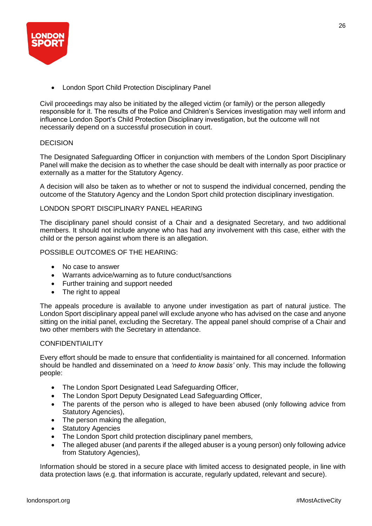

• London Sport Child Protection Disciplinary Panel

Civil proceedings may also be initiated by the alleged victim (or family) or the person allegedly responsible for it. The results of the Police and Children's Services investigation may well inform and influence London Sport's Child Protection Disciplinary investigation, but the outcome will not necessarily depend on a successful prosecution in court.

## DECISION

The Designated Safeguarding Officer in conjunction with members of the London Sport Disciplinary Panel will make the decision as to whether the case should be dealt with internally as poor practice or externally as a matter for the Statutory Agency.

A decision will also be taken as to whether or not to suspend the individual concerned, pending the outcome of the Statutory Agency and the London Sport child protection disciplinary investigation.

## LONDON SPORT DISCIPLINARY PANEL HEARING

The disciplinary panel should consist of a Chair and a designated Secretary, and two additional members. It should not include anyone who has had any involvement with this case, either with the child or the person against whom there is an allegation.

POSSIBLE OUTCOMES OF THE HEARING:

- No case to answer
- Warrants advice/warning as to future conduct/sanctions
- Further training and support needed
- The right to appeal

The appeals procedure is available to anyone under investigation as part of natural justice. The London Sport disciplinary appeal panel will exclude anyone who has advised on the case and anyone sitting on the initial panel, excluding the Secretary. The appeal panel should comprise of a Chair and two other members with the Secretary in attendance.

#### **CONFIDENTIAILITY**

Every effort should be made to ensure that confidentiality is maintained for all concerned. Information should be handled and disseminated on a *'need to know basis'* only. This may include the following people:

- The London Sport Designated Lead Safeguarding Officer,
- The London Sport Deputy Designated Lead Safeguarding Officer,
- The parents of the person who is alleged to have been abused (only following advice from Statutory Agencies),
- The person making the allegation,
- Statutory Agencies
- The London Sport child protection disciplinary panel members,
- The alleged abuser (and parents if the alleged abuser is a young person) only following advice from Statutory Agencies),

Information should be stored in a secure place with limited access to designated people, in line with data protection laws (e.g. that information is accurate, regularly updated, relevant and secure).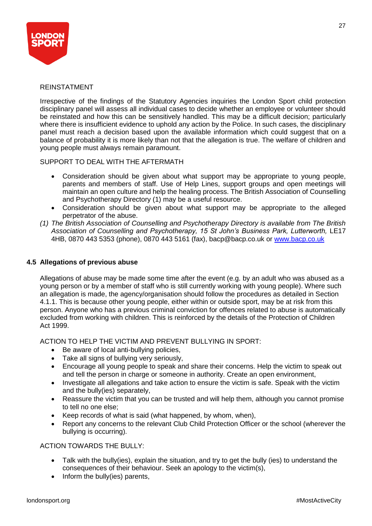

## REINSTATMENT

Irrespective of the findings of the Statutory Agencies inquiries the London Sport child protection disciplinary panel will assess all individual cases to decide whether an employee or volunteer should be reinstated and how this can be sensitively handled. This may be a difficult decision; particularly where there is insufficient evidence to uphold any action by the Police. In such cases, the disciplinary panel must reach a decision based upon the available information which could suggest that on a balance of probability it is more likely than not that the allegation is true. The welfare of children and young people must always remain paramount.

SUPPORT TO DEAL WITH THE AFTERMATH

- Consideration should be given about what support may be appropriate to young people, parents and members of staff. Use of Help Lines, support groups and open meetings will maintain an open culture and help the healing process. The British Association of Counselling and Psychotherapy Directory (1) may be a useful resource.
- Consideration should be given about what support may be appropriate to the alleged perpetrator of the abuse.
- *(1) The British Association of Counselling and Psychotherapy Directory is available from The British*  Association of Counselling and Psychotherapy, 15 St John's Business Park, Lutterworth, LE17 4HB, 0870 443 5353 (phone), 0870 443 5161 (fax), bacp@bacp.co.uk or [www.bacp.co.uk](http://www.bacp.co.uk/)

## **4.5 Allegations of previous abuse**

Allegations of abuse may be made some time after the event (e.g. by an adult who was abused as a young person or by a member of staff who is still currently working with young people). Where such an allegation is made, the agency/organisation should follow the procedures as detailed in Section 4.1.1. This is because other young people, either within or outside sport, may be at risk from this person. Anyone who has a previous criminal conviction for offences related to abuse is automatically excluded from working with children. This is reinforced by the details of the Protection of Children Act 1999.

ACTION TO HELP THE VICTIM AND PREVENT BULLYING IN SPORT:

- Be aware of local anti-bullying policies,
- Take all signs of bullying very seriously,
- Encourage all young people to speak and share their concerns. Help the victim to speak out and tell the person in charge or someone in authority. Create an open environment,
- Investigate all allegations and take action to ensure the victim is safe. Speak with the victim and the bully(ies) separately,
- Reassure the victim that you can be trusted and will help them, although you cannot promise to tell no one else;
- Keep records of what is said (what happened, by whom, when),
- Report any concerns to the relevant Club Child Protection Officer or the school (wherever the bullying is occurring).

## ACTION TOWARDS THE BULLY:

- Talk with the bully(ies), explain the situation, and try to get the bully (ies) to understand the consequences of their behaviour. Seek an apology to the victim(s),
- Inform the bully(ies) parents,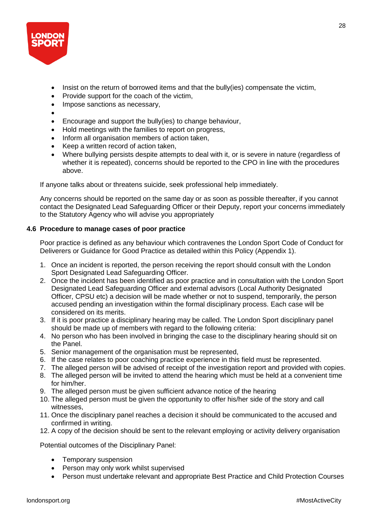

- Insist on the return of borrowed items and that the bully(ies) compensate the victim,
- Provide support for the coach of the victim,
- Impose sanctions as necessary,
- •
- Encourage and support the bully(ies) to change behaviour,
- Hold meetings with the families to report on progress,
- Inform all organisation members of action taken,
- Keep a written record of action taken,
- Where bullying persists despite attempts to deal with it, or is severe in nature (regardless of whether it is repeated), concerns should be reported to the CPO in line with the procedures above.

If anyone talks about or threatens suicide, seek professional help immediately.

Any concerns should be reported on the same day or as soon as possible thereafter, if you cannot contact the Designated Lead Safeguarding Officer or their Deputy, report your concerns immediately to the Statutory Agency who will advise you appropriately

## **4.6 Procedure to manage cases of poor practice**

Poor practice is defined as any behaviour which contravenes the London Sport Code of Conduct for Deliverers or Guidance for Good Practice as detailed within this Policy (Appendix 1).

- 1. Once an incident is reported, the person receiving the report should consult with the London Sport Designated Lead Safeguarding Officer.
- 2. Once the incident has been identified as poor practice and in consultation with the London Sport Designated Lead Safeguarding Officer and external advisors (Local Authority Designated Officer, CPSU etc) a decision will be made whether or not to suspend, temporarily, the person accused pending an investigation within the formal disciplinary process. Each case will be considered on its merits.
- 3. If it is poor practice a disciplinary hearing may be called. The London Sport disciplinary panel should be made up of members with regard to the following criteria:
- 4. No person who has been involved in bringing the case to the disciplinary hearing should sit on the Panel.
- 5. Senior management of the organisation must be represented,
- 6. If the case relates to poor coaching practice experience in this field must be represented.
- 7. The alleged person will be advised of receipt of the investigation report and provided with copies.
- 8. The alleged person will be invited to attend the hearing which must be held at a convenient time for him/her.
- 9. The alleged person must be given sufficient advance notice of the hearing
- 10. The alleged person must be given the opportunity to offer his/her side of the story and call witnesses,
- 11. Once the disciplinary panel reaches a decision it should be communicated to the accused and confirmed in writing.
- 12. A copy of the decision should be sent to the relevant employing or activity delivery organisation

Potential outcomes of the Disciplinary Panel:

- Temporary suspension
- Person may only work whilst supervised
- Person must undertake relevant and appropriate Best Practice and Child Protection Courses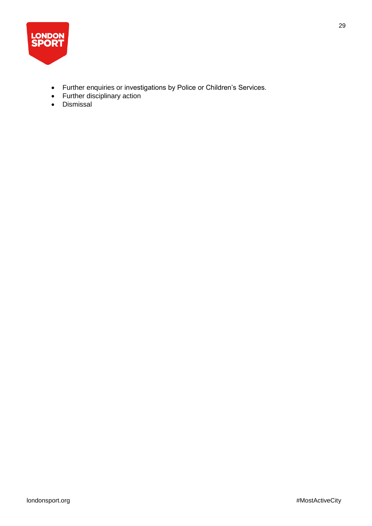

- Further enquiries or investigations by Police or Children's Services.
- Further disciplinary action
- Dismissal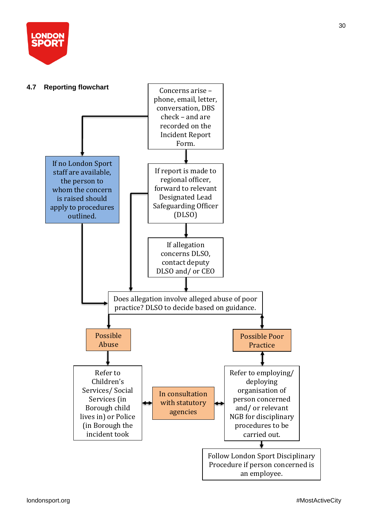

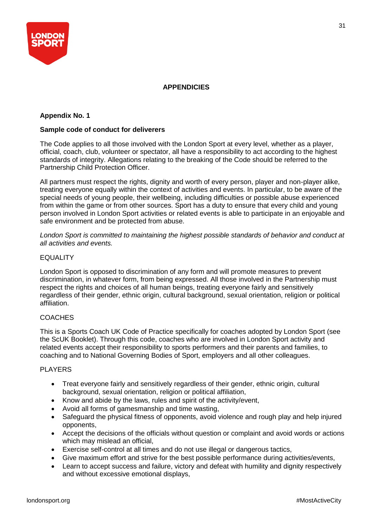

## **APPENDICIES**

## **Appendix No. 1**

## **Sample code of conduct for deliverers**

The Code applies to all those involved with the London Sport at every level, whether as a player, official, coach, club, volunteer or spectator, all have a responsibility to act according to the highest standards of integrity. Allegations relating to the breaking of the Code should be referred to the Partnership Child Protection Officer.

All partners must respect the rights, dignity and worth of every person, player and non-player alike, treating everyone equally within the context of activities and events. In particular, to be aware of the special needs of young people, their wellbeing, including difficulties or possible abuse experienced from within the game or from other sources. Sport has a duty to ensure that every child and young person involved in London Sport activities or related events is able to participate in an enjoyable and safe environment and be protected from abuse.

*London Sport is committed to maintaining the highest possible standards of behavior and conduct at all activities and events.*

## EQUALITY

London Sport is opposed to discrimination of any form and will promote measures to prevent discrimination, in whatever form, from being expressed. All those involved in the Partnership must respect the rights and choices of all human beings, treating everyone fairly and sensitively regardless of their gender, ethnic origin, cultural background, sexual orientation, religion or political affiliation.

#### **COACHES**

This is a Sports Coach UK Code of Practice specifically for coaches adopted by London Sport (see the ScUK Booklet). Through this code, coaches who are involved in London Sport activity and related events accept their responsibility to sports performers and their parents and families, to coaching and to National Governing Bodies of Sport, employers and all other colleagues.

## PLAYERS

- Treat everyone fairly and sensitively regardless of their gender, ethnic origin, cultural background, sexual orientation, religion or political affiliation,
- Know and abide by the laws, rules and spirit of the activity/event,
- Avoid all forms of gamesmanship and time wasting,
- Safeguard the physical fitness of opponents, avoid violence and rough play and help injured opponents,
- Accept the decisions of the officials without question or complaint and avoid words or actions which may mislead an official,
- Exercise self-control at all times and do not use illegal or dangerous tactics,
- Give maximum effort and strive for the best possible performance during activities/events,
- Learn to accept success and failure, victory and defeat with humility and dignity respectively and without excessive emotional displays,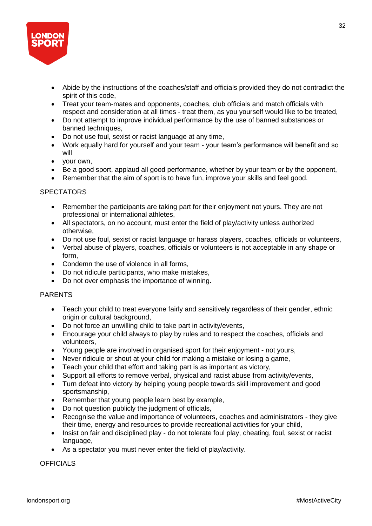

- Abide by the instructions of the coaches/staff and officials provided they do not contradict the spirit of this code,
- Treat your team-mates and opponents, coaches, club officials and match officials with respect and consideration at all times - treat them, as you yourself would like to be treated,
- Do not attempt to improve individual performance by the use of banned substances or banned techniques,
- Do not use foul, sexist or racist language at any time,
- Work equally hard for yourself and your team your team's performance will benefit and so will
- your own,
- Be a good sport, applaud all good performance, whether by your team or by the opponent,
- Remember that the aim of sport is to have fun, improve your skills and feel good.

## **SPECTATORS**

- Remember the participants are taking part for their enjoyment not yours. They are not professional or international athletes,
- All spectators, on no account, must enter the field of play/activity unless authorized otherwise,
- Do not use foul, sexist or racist language or harass players, coaches, officials or volunteers,
- Verbal abuse of players, coaches, officials or volunteers is not acceptable in any shape or form,
- Condemn the use of violence in all forms.
- Do not ridicule participants, who make mistakes,
- Do not over emphasis the importance of winning.

## PARENTS

- Teach your child to treat everyone fairly and sensitively regardless of their gender, ethnic origin or cultural background,
- Do not force an unwilling child to take part in activity/events,
- Encourage your child always to play by rules and to respect the coaches, officials and volunteers,
- Young people are involved in organised sport for their enjoyment not yours,
- Never ridicule or shout at your child for making a mistake or losing a game,
- Teach your child that effort and taking part is as important as victory,
- Support all efforts to remove verbal, physical and racist abuse from activity/events,
- Turn defeat into victory by helping young people towards skill improvement and good sportsmanship,
- Remember that young people learn best by example,
- Do not question publicly the judgment of officials,
- Recognise the value and importance of volunteers, coaches and administrators they give their time, energy and resources to provide recreational activities for your child,
- Insist on fair and disciplined play do not tolerate foul play, cheating, foul, sexist or racist language,
- As a spectator you must never enter the field of play/activity.

**OFFICIALS**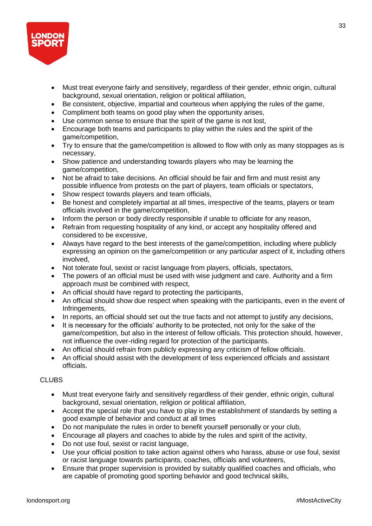

- Must treat everyone fairly and sensitively, regardless of their gender, ethnic origin, cultural background, sexual orientation, religion or political affiliation,
- Be consistent, objective, impartial and courteous when applying the rules of the game,
- Compliment both teams on good play when the opportunity arises,
- Use common sense to ensure that the spirit of the game is not lost,
- Encourage both teams and participants to play within the rules and the spirit of the game/competition,
- Try to ensure that the game/competition is allowed to flow with only as many stoppages as is necessary,
- Show patience and understanding towards players who may be learning the game/competition,
- Not be afraid to take decisions. An official should be fair and firm and must resist any possible influence from protests on the part of players, team officials or spectators,
- Show respect towards players and team officials,
- Be honest and completely impartial at all times, irrespective of the teams, players or team officials involved in the game/competition,
- Inform the person or body directly responsible if unable to officiate for any reason,
- Refrain from requesting hospitality of any kind, or accept any hospitality offered and considered to be excessive,
- Always have regard to the best interests of the game/competition, including where publicly expressing an opinion on the game/competition or any particular aspect of it, including others involved,
- Not tolerate foul, sexist or racist language from players, officials, spectators,
- The powers of an official must be used with wise judgment and care. Authority and a firm approach must be combined with respect,
- An official should have regard to protecting the participants,
- An official should show due respect when speaking with the participants, even in the event of Infringements,
- In reports, an official should set out the true facts and not attempt to justify any decisions,
- It is necessary for the officials' authority to be protected, not only for the sake of the game/competition, but also in the interest of fellow officials. This protection should, however, not influence the over-riding regard for protection of the participants.
- An official should refrain from publicly expressing any criticism of fellow officials.
- An official should assist with the development of less experienced officials and assistant officials.

## **CLUBS**

- Must treat everyone fairly and sensitively regardless of their gender, ethnic origin, cultural background, sexual orientation, religion or political affiliation,
- Accept the special role that you have to play in the establishment of standards by setting a good example of behavior and conduct at all times
- Do not manipulate the rules in order to benefit yourself personally or your club,
- Encourage all players and coaches to abide by the rules and spirit of the activity,
- Do not use foul, sexist or racist language,
- Use your official position to take action against others who harass, abuse or use foul, sexist or racist language towards participants, coaches, officials and volunteers,
- Ensure that proper supervision is provided by suitably qualified coaches and officials, who are capable of promoting good sporting behavior and good technical skills,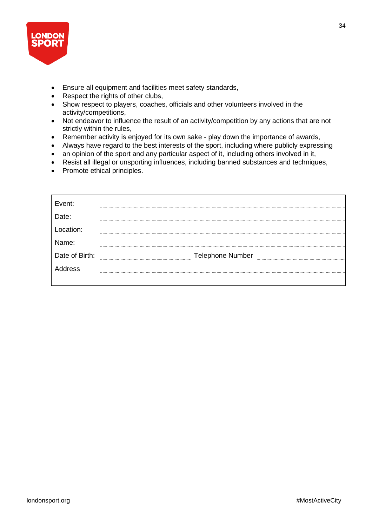

- Ensure all equipment and facilities meet safety standards,
- Respect the rights of other clubs,
- Show respect to players, coaches, officials and other volunteers involved in the activity/competitions,
- Not endeavor to influence the result of an activity/competition by any actions that are not strictly within the rules,
- Remember activity is enjoyed for its own sake play down the importance of awards,
- Always have regard to the best interests of the sport, including where publicly expressing
- an opinion of the sport and any particular aspect of it, including others involved in it,
- Resist all illegal or unsporting influences, including banned substances and techniques,
- Promote ethical principles.

| Event:         |                         |
|----------------|-------------------------|
| Date:          |                         |
| Location:      |                         |
| Name:          |                         |
| Date of Birth: | <b>Telephone Number</b> |
| Address        |                         |
|                |                         |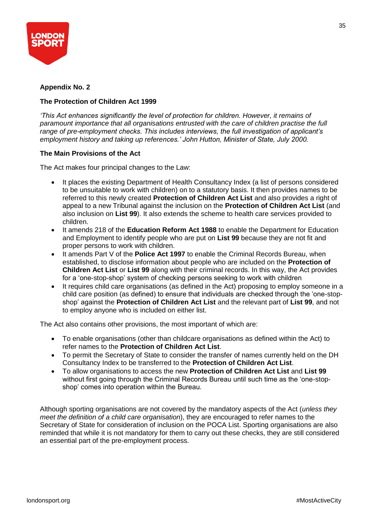

## **Appendix No. 2**

## **The Protection of Children Act 1999**

*'This Act enhances significantly the level of protection for children. However, it remains of paramount importance that all organisations entrusted with the care of children practise the full range of pre-employment checks. This includes interviews, the full investigation of applicant's employment history and taking up references.' John Hutton, Minister of State, July 2000.*

## **The Main Provisions of the Act**

The Act makes four principal changes to the Law:

- It places the existing Department of Health Consultancy Index (a list of persons considered to be unsuitable to work with children) on to a statutory basis. It then provides names to be referred to this newly created **Protection of Children Act List** and also provides a right of appeal to a new Tribunal against the inclusion on the **Protection of Children Act List** (and also inclusion on **List 99**). It also extends the scheme to health care services provided to children.
- It amends 218 of the **Education Reform Act 1988** to enable the Department for Education and Employment to identify people who are put on **List 99** because they are not fit and proper persons to work with children.
- It amends Part V of the **Police Act 1997** to enable the Criminal Records Bureau, when established, to disclose information about people who are included on the **Protection of Children Act List** or **List 99** along with their criminal records. In this way, the Act provides for a 'one-stop-shop' system of checking persons seeking to work with children
- It requires child care organisations (as defined in the Act) proposing to employ someone in a child care position (as defined) to ensure that individuals are checked through the 'one-stopshop' against the **Protection of Children Act List** and the relevant part of **List 99**, and not to employ anyone who is included on either list.

The Act also contains other provisions, the most important of which are:

- To enable organisations (other than childcare organisations as defined within the Act) to refer names to the **Protection of Children Act List**.
- To permit the Secretary of State to consider the transfer of names currently held on the DH Consultancy Index to be transferred to the **Protection of Children Act List**.
- To allow organisations to access the new **Protection of Children Act List** and **List 99** without first going through the Criminal Records Bureau until such time as the 'one-stopshop' comes into operation within the Bureau.

Although sporting organisations are not covered by the mandatory aspects of the Act (*unless they meet the definition of a child care organisation*), they are encouraged to refer names to the Secretary of State for consideration of inclusion on the POCA List. Sporting organisations are also reminded that while it is not mandatory for them to carry out these checks, they are still considered an essential part of the pre-employment process.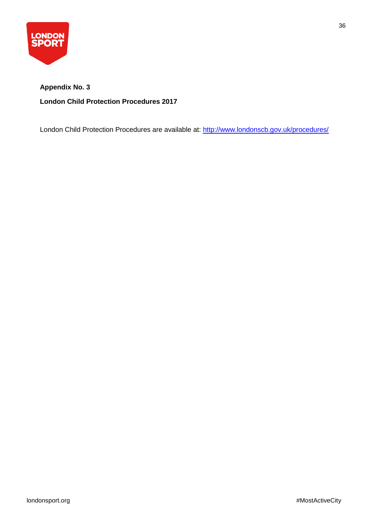

# **Appendix No. 3 London Child Protection Procedures 2017**

London Child Protection Procedures are available at:<http://www.londonscb.gov.uk/procedures/>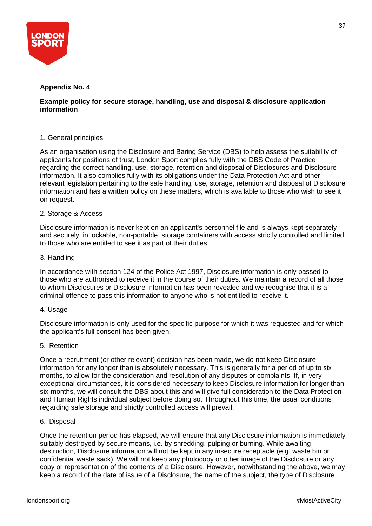

## **Appendix No. 4**

## **Example policy for secure storage, handling, use and disposal & disclosure application information**

## 1. General principles

As an organisation using the Disclosure and Baring Service (DBS) to help assess the suitability of applicants for positions of trust, London Sport complies fully with the DBS Code of Practice regarding the correct handling, use, storage, retention and disposal of Disclosures and Disclosure information. It also complies fully with its obligations under the Data Protection Act and other relevant legislation pertaining to the safe handling, use, storage, retention and disposal of Disclosure information and has a written policy on these matters, which is available to those who wish to see it on request.

#### 2. Storage & Access

Disclosure information is never kept on an applicant's personnel file and is always kept separately and securely, in lockable, non-portable, storage containers with access strictly controlled and limited to those who are entitled to see it as part of their duties.

#### 3. Handling

In accordance with section 124 of the Police Act 1997, Disclosure information is only passed to those who are authorised to receive it in the course of their duties. We maintain a record of all those to whom Disclosures or Disclosure information has been revealed and we recognise that it is a criminal offence to pass this information to anyone who is not entitled to receive it.

#### 4. Usage

Disclosure information is only used for the specific purpose for which it was requested and for which the applicant's full consent has been given.

#### 5. Retention

Once a recruitment (or other relevant) decision has been made, we do not keep Disclosure information for any longer than is absolutely necessary. This is generally for a period of up to six months, to allow for the consideration and resolution of any disputes or complaints. If, in very exceptional circumstances, it is considered necessary to keep Disclosure information for longer than six-months, we will consult the DBS about this and will give full consideration to the Data Protection and Human Rights individual subject before doing so. Throughout this time, the usual conditions regarding safe storage and strictly controlled access will prevail.

#### 6. Disposal

Once the retention period has elapsed, we will ensure that any Disclosure information is immediately suitably destroyed by secure means, i.e. by shredding, pulping or burning. While awaiting destruction, Disclosure information will not be kept in any insecure receptacle (e.g. waste bin or confidential waste sack). We will not keep any photocopy or other image of the Disclosure or any copy or representation of the contents of a Disclosure. However, notwithstanding the above, we may keep a record of the date of issue of a Disclosure, the name of the subject, the type of Disclosure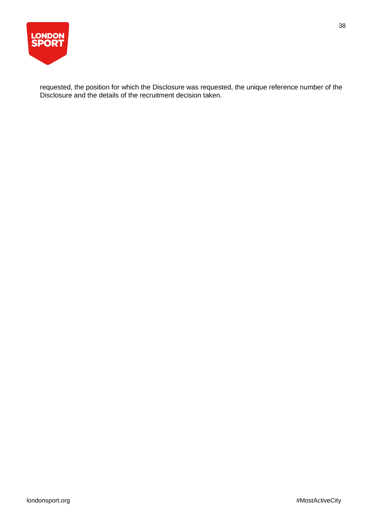

requested, the position for which the Disclosure was requested, the unique reference number of the Disclosure and the details of the recruitment decision taken.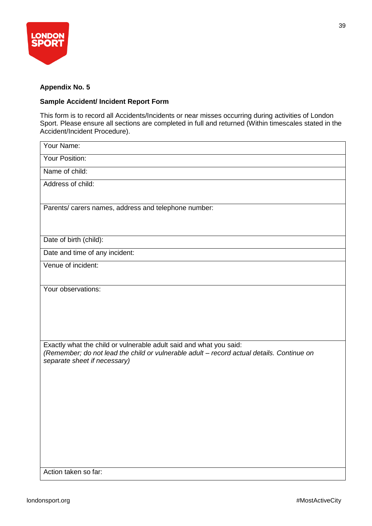

## **Appendix No. 5**

## **Sample Accident/ Incident Report Form**

This form is to record all Accidents/Incidents or near misses occurring during activities of London Sport. Please ensure all sections are completed in full and returned (Within timescales stated in the Accident/Incident Procedure).

| Your Name:                                                                                |
|-------------------------------------------------------------------------------------------|
| Your Position:                                                                            |
| Name of child:                                                                            |
| Address of child:                                                                         |
|                                                                                           |
| Parents/ carers names, address and telephone number:                                      |
|                                                                                           |
| Date of birth (child):                                                                    |
| Date and time of any incident:                                                            |
| Venue of incident:                                                                        |
|                                                                                           |
| Your observations:                                                                        |
|                                                                                           |
|                                                                                           |
|                                                                                           |
| Exactly what the child or vulnerable adult said and what you said:                        |
| (Remember; do not lead the child or vulnerable adult - record actual details. Continue on |
| separate sheet if necessary)                                                              |
|                                                                                           |
|                                                                                           |
|                                                                                           |
|                                                                                           |
|                                                                                           |
|                                                                                           |
|                                                                                           |
| Action taken so far:                                                                      |
|                                                                                           |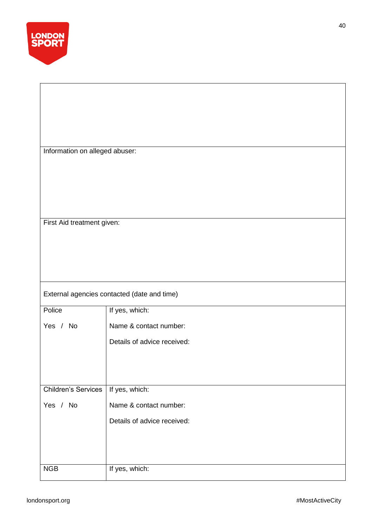

First Aid treatment given:

# External agencies contacted (date and time)

| Police                     | If yes, which:              |
|----------------------------|-----------------------------|
| Yes / No                   | Name & contact number:      |
|                            | Details of advice received: |
|                            |                             |
|                            |                             |
|                            |                             |
| <b>Children's Services</b> | If yes, which:              |
| Yes / No                   | Name & contact number:      |
|                            | Details of advice received: |
|                            |                             |
|                            |                             |
|                            |                             |
| <b>NGB</b>                 | If yes, which:              |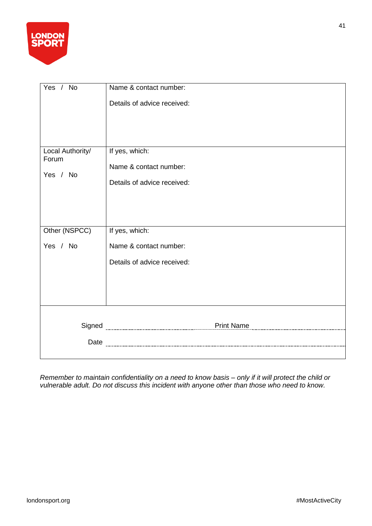

| Yes / No                  | Name & contact number:      |
|---------------------------|-----------------------------|
|                           | Details of advice received: |
|                           |                             |
|                           |                             |
|                           |                             |
| Local Authority/<br>Forum | If yes, which:              |
|                           | Name & contact number:      |
| Yes / No                  | Details of advice received: |
|                           |                             |
|                           |                             |
|                           |                             |
| Other (NSPCC)             | If yes, which:              |
| Yes / No                  | Name & contact number:      |
|                           | Details of advice received: |
|                           |                             |
|                           |                             |
|                           |                             |
|                           |                             |
|                           | Print Name                  |
| Date                      |                             |
|                           |                             |

*Remember to maintain confidentiality on a need to know basis – only if it will protect the child or vulnerable adult. Do not discuss this incident with anyone other than those who need to know.*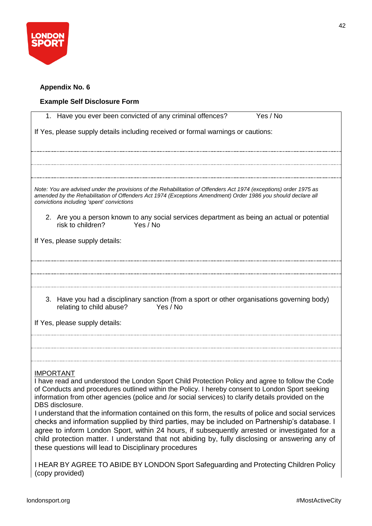

## **Appendix No. 6**

# **Example Self Disclosure Form**

| Yes / No<br>1. Have you ever been convicted of any criminal offences?                                                                                                                                                                                                                                                                                                                                                                                             |
|-------------------------------------------------------------------------------------------------------------------------------------------------------------------------------------------------------------------------------------------------------------------------------------------------------------------------------------------------------------------------------------------------------------------------------------------------------------------|
| If Yes, please supply details including received or formal warnings or cautions:                                                                                                                                                                                                                                                                                                                                                                                  |
|                                                                                                                                                                                                                                                                                                                                                                                                                                                                   |
|                                                                                                                                                                                                                                                                                                                                                                                                                                                                   |
| Note: You are advised under the provisions of the Rehabilitation of Offenders Act 1974 (exceptions) order 1975 as<br>amended by the Rehabilitation of Offenders Act 1974 (Exceptions Amendment) Order 1986 you should declare all<br>convictions including 'spent' convictions                                                                                                                                                                                    |
| 2. Are you a person known to any social services department as being an actual or potential<br>Yes / No<br>risk to children?                                                                                                                                                                                                                                                                                                                                      |
| If Yes, please supply details:                                                                                                                                                                                                                                                                                                                                                                                                                                    |
|                                                                                                                                                                                                                                                                                                                                                                                                                                                                   |
|                                                                                                                                                                                                                                                                                                                                                                                                                                                                   |
| 3. Have you had a disciplinary sanction (from a sport or other organisations governing body)<br>relating to child abuse?<br>Yes / No                                                                                                                                                                                                                                                                                                                              |
| If Yes, please supply details:                                                                                                                                                                                                                                                                                                                                                                                                                                    |
|                                                                                                                                                                                                                                                                                                                                                                                                                                                                   |
| <b>IMPORTANT</b>                                                                                                                                                                                                                                                                                                                                                                                                                                                  |
| I have read and understood the London Sport Child Protection Policy and agree to follow the Code<br>of Conducts and procedures outlined within the Policy. I hereby consent to London Sport seeking<br>information from other agencies (police and /or social services) to clarify details provided on the<br>DBS disclosure.                                                                                                                                     |
| I understand that the information contained on this form, the results of police and social services<br>checks and information supplied by third parties, may be included on Partnership's database. I<br>agree to inform London Sport, within 24 hours, if subsequently arrested or investigated for a<br>child protection matter. I understand that not abiding by, fully disclosing or answering any of<br>these questions will lead to Disciplinary procedures |
| I HEAR BY AGREE TO ABIDE BY LONDON Sport Safeguarding and Protecting Children Policy<br>(copy provided)                                                                                                                                                                                                                                                                                                                                                           |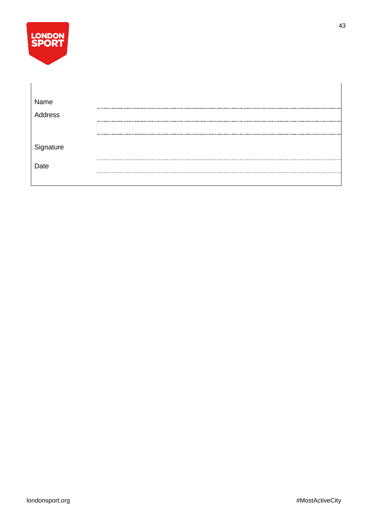| <b>LONDON</b> |
|---------------|
| <b>SPORT</b>  |
|               |

| Name      |  |
|-----------|--|
| Address   |  |
|           |  |
|           |  |
|           |  |
| Signature |  |
|           |  |
| Date      |  |
|           |  |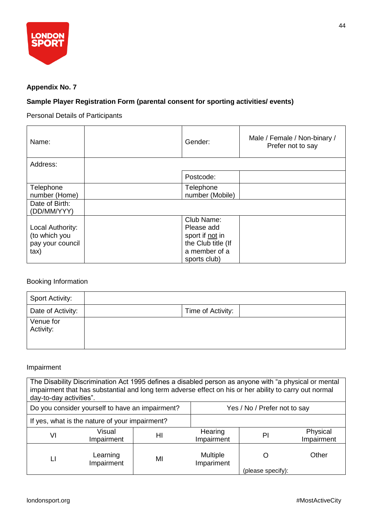

## **Appendix No. 7**

## **Sample Player Registration Form (parental consent for sporting activities/ events)**

Personal Details of Participants

| Name:                                                                   | Gender:                                                                                            | Male / Female / Non-binary /<br>Prefer not to say |
|-------------------------------------------------------------------------|----------------------------------------------------------------------------------------------------|---------------------------------------------------|
| Address:                                                                |                                                                                                    |                                                   |
|                                                                         | Postcode:                                                                                          |                                                   |
| Telephone<br>number (Home)                                              | Telephone<br>number (Mobile)                                                                       |                                                   |
| Date of Birth:<br>(DD/MM/YYY)                                           |                                                                                                    |                                                   |
| Local Authority:<br>(to which you<br>pay your council<br>$\mathsf{tax}$ | Club Name:<br>Please add<br>sport if not in<br>the Club title (If<br>a member of a<br>sports club) |                                                   |

## Booking Information

| <b>Sport Activity:</b> |                   |
|------------------------|-------------------|
| Date of Activity:      | Time of Activity: |
| Venue for<br>Activity: |                   |

## Impairment

| The Disability Discrimination Act 1995 defines a disabled person as anyone with "a physical or mental<br>impairment that has substantial and long term adverse effect on his or her ability to carry out normal<br>day-to-day activities". |                        |    |                               |                   |                        |
|--------------------------------------------------------------------------------------------------------------------------------------------------------------------------------------------------------------------------------------------|------------------------|----|-------------------------------|-------------------|------------------------|
| Do you consider yourself to have an impairment?                                                                                                                                                                                            |                        |    | Yes / No / Prefer not to say  |                   |                        |
| If yes, what is the nature of your impairment?                                                                                                                                                                                             |                        |    |                               |                   |                        |
| VI                                                                                                                                                                                                                                         | Visual<br>Impairment   | HI | Hearing<br>Impairment         | PI                | Physical<br>Impairment |
|                                                                                                                                                                                                                                            | Learning<br>Impairment | MI | <b>Multiple</b><br>Impariment |                   | Other                  |
|                                                                                                                                                                                                                                            |                        |    |                               | (please specify): |                        |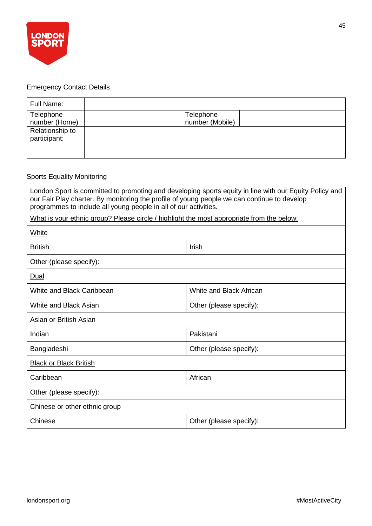

# Emergency Contact Details

| Full Name:                      |                              |
|---------------------------------|------------------------------|
| Telephone<br>number (Home)      | Telephone<br>number (Mobile) |
| Relationship to<br>participant: |                              |

# Sports Equality Monitoring

| London Sport is committed to promoting and developing sports equity in line with our Equity Policy and<br>our Fair Play charter. By monitoring the profile of young people we can continue to develop<br>programmes to include all young people in all of our activities. |                         |  |  |
|---------------------------------------------------------------------------------------------------------------------------------------------------------------------------------------------------------------------------------------------------------------------------|-------------------------|--|--|
| What is your ethnic group? Please circle / highlight the most appropriate from the below:                                                                                                                                                                                 |                         |  |  |
| White                                                                                                                                                                                                                                                                     |                         |  |  |
| <b>British</b>                                                                                                                                                                                                                                                            | Irish                   |  |  |
| Other (please specify):                                                                                                                                                                                                                                                   |                         |  |  |
| <u>Dual</u>                                                                                                                                                                                                                                                               |                         |  |  |
| White and Black Caribbean                                                                                                                                                                                                                                                 | White and Black African |  |  |
| White and Black Asian                                                                                                                                                                                                                                                     | Other (please specify): |  |  |
| Asian or British Asian                                                                                                                                                                                                                                                    |                         |  |  |
| Indian                                                                                                                                                                                                                                                                    | Pakistani               |  |  |
| Bangladeshi<br>Other (please specify):                                                                                                                                                                                                                                    |                         |  |  |
| <b>Black or Black British</b>                                                                                                                                                                                                                                             |                         |  |  |
| African<br>Caribbean                                                                                                                                                                                                                                                      |                         |  |  |
| Other (please specify):                                                                                                                                                                                                                                                   |                         |  |  |
| Chinese or other ethnic group                                                                                                                                                                                                                                             |                         |  |  |
| Chinese                                                                                                                                                                                                                                                                   | Other (please specify): |  |  |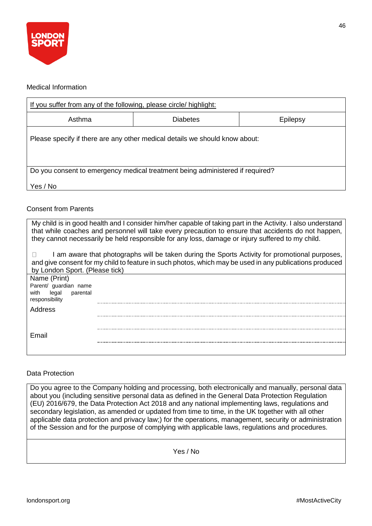

## Medical Information

| If you suffer from any of the following, please circle/ highlight:            |                 |          |  |
|-------------------------------------------------------------------------------|-----------------|----------|--|
| Asthma                                                                        | <b>Diabetes</b> | Epilepsy |  |
| Please specify if there are any other medical details we should know about:   |                 |          |  |
| Do you consent to emergency medical treatment being administered if required? |                 |          |  |
| Yes / No                                                                      |                 |          |  |

## Consent from Parents

| My child is in good health and I consider him/her capable of taking part in the Activity. I also understand<br>that while coaches and personnel will take every precaution to ensure that accidents do not happen,<br>they cannot necessarily be held responsible for any loss, damage or injury suffered to my child. |                                                                                                                                                                                                         |  |  |
|------------------------------------------------------------------------------------------------------------------------------------------------------------------------------------------------------------------------------------------------------------------------------------------------------------------------|---------------------------------------------------------------------------------------------------------------------------------------------------------------------------------------------------------|--|--|
| by London Sport. (Please tick)                                                                                                                                                                                                                                                                                         | am aware that photographs will be taken during the Sports Activity for promotional purposes,<br>and give consent for my child to feature in such photos, which may be used in any publications produced |  |  |
| Name (Print)                                                                                                                                                                                                                                                                                                           |                                                                                                                                                                                                         |  |  |
| Parent/ guardian name<br>with<br>parental<br>legal                                                                                                                                                                                                                                                                     |                                                                                                                                                                                                         |  |  |
| responsibility                                                                                                                                                                                                                                                                                                         |                                                                                                                                                                                                         |  |  |
| Address                                                                                                                                                                                                                                                                                                                |                                                                                                                                                                                                         |  |  |
|                                                                                                                                                                                                                                                                                                                        |                                                                                                                                                                                                         |  |  |
| Email                                                                                                                                                                                                                                                                                                                  |                                                                                                                                                                                                         |  |  |
|                                                                                                                                                                                                                                                                                                                        |                                                                                                                                                                                                         |  |  |
|                                                                                                                                                                                                                                                                                                                        |                                                                                                                                                                                                         |  |  |

#### Data Protection

Do you agree to the Company holding and processing, both electronically and manually, personal data about you (including sensitive personal data as defined in the General Data Protection Regulation (EU) 2016/679, the Data Protection Act 2018 and any national implementing laws, regulations and secondary legislation, as amended or updated from time to time, in the UK together with all other applicable data protection and privacy law;) for the operations, management, security or administration of the Session and for the purpose of complying with applicable laws, regulations and procedures.

Yes / No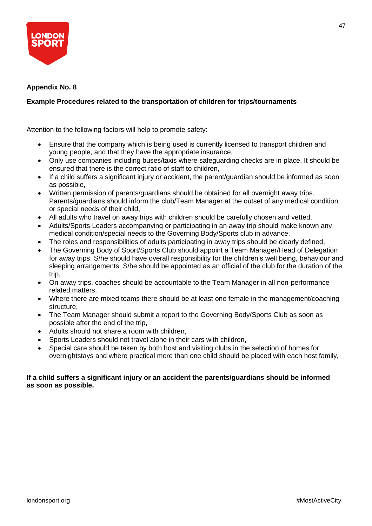

## **Appendix No. 8**

## **Example Procedures related to the transportation of children for trips/tournaments**

Attention to the following factors will help to promote safety:

- Ensure that the company which is being used is currently licensed to transport children and young people, and that they have the appropriate insurance,
- Only use companies including buses/taxis where safeguarding checks are in place. It should be ensured that there is the correct ratio of staff to children,
- If a child suffers a significant injury or accident, the parent/guardian should be informed as soon as possible,
- Written permission of parents/guardians should be obtained for all overnight away trips. Parents/guardians should inform the club/Team Manager at the outset of any medical condition or special needs of their child,
- All adults who travel on away trips with children should be carefully chosen and vetted,
- Adults/Sports Leaders accompanying or participating in an away trip should make known any medical condition/special needs to the Governing Body/Sports club in advance,
- The roles and responsibilities of adults participating in away trips should be clearly defined,
- The Governing Body of Sport/Sports Club should appoint a Team Manager/Head of Delegation for away trips. S/he should have overall responsibility for the children's well being, behaviour and sleeping arrangements. S/he should be appointed as an official of the club for the duration of the trip,
- On away trips, coaches should be accountable to the Team Manager in all non-performance related matters,
- Where there are mixed teams there should be at least one female in the management/coaching structure,
- The Team Manager should submit a report to the Governing Body/Sports Club as soon as possible after the end of the trip,
- Adults should not share a room with children,
- Sports Leaders should not travel alone in their cars with children,
- Special care should be taken by both host and visiting clubs in the selection of homes for overnightstays and where practical more than one child should be placed with each host family,

## **If a child suffers a significant injury or an accident the parents/guardians should be informed as soon as possible.**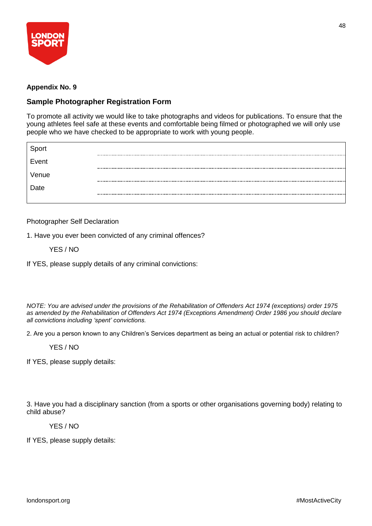

## **Appendix No. 9**

## **Sample Photographer Registration Form**

To promote all activity we would like to take photographs and videos for publications. To ensure that the young athletes feel safe at these events and comfortable being filmed or photographed we will only use people who we have checked to be appropriate to work with young people.

| Sport |  |
|-------|--|
| Event |  |
| Venue |  |
| Date  |  |
|       |  |

## Photographer Self Declaration

1. Have you ever been convicted of any criminal offences?

YES / NO

If YES, please supply details of any criminal convictions:

*NOTE: You are advised under the provisions of the Rehabilitation of Offenders Act 1974 (exceptions) order 1975 as amended by the Rehabilitation of Offenders Act 1974 (Exceptions Amendment) Order 1986 you should declare all convictions including 'spent' convictions.*

2. Are you a person known to any Children's Services department as being an actual or potential risk to children?

## YES / NO

If YES, please supply details:

3. Have you had a disciplinary sanction (from a sports or other organisations governing body) relating to child abuse?

## YES / NO

If YES, please supply details: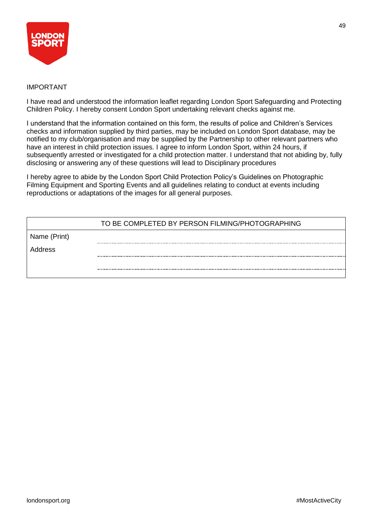

## IMPORTANT

I have read and understood the information leaflet regarding London Sport Safeguarding and Protecting Children Policy. I hereby consent London Sport undertaking relevant checks against me.

I understand that the information contained on this form, the results of police and Children's Services checks and information supplied by third parties, may be included on London Sport database, may be notified to my club/organisation and may be supplied by the Partnership to other relevant partners who have an interest in child protection issues. I agree to inform London Sport, within 24 hours, if subsequently arrested or investigated for a child protection matter. I understand that not abiding by, fully disclosing or answering any of these questions will lead to Disciplinary procedures

I hereby agree to abide by the London Sport Child Protection Policy's Guidelines on Photographic Filming Equipment and Sporting Events and all guidelines relating to conduct at events including reproductions or adaptations of the images for all general purposes.

|              | TO BE COMPLETED BY PERSON FILMING/PHOTOGRAPHING |
|--------------|-------------------------------------------------|
| Name (Print) |                                                 |
| Address      |                                                 |
|              |                                                 |
|              |                                                 |

49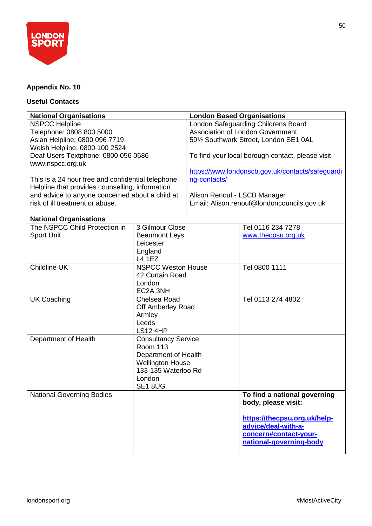

## **Appendix No. 10**

## **Useful Contacts**

| <b>National Organisations</b>                                                                                                                                                              |                                                                                                                                                     | <b>London Based Organisations</b>                                                                                                              |                                                                                                                                                                |  |
|--------------------------------------------------------------------------------------------------------------------------------------------------------------------------------------------|-----------------------------------------------------------------------------------------------------------------------------------------------------|------------------------------------------------------------------------------------------------------------------------------------------------|----------------------------------------------------------------------------------------------------------------------------------------------------------------|--|
| <b>NSPCC Helpline</b><br>Telephone: 0808 800 5000<br>Asian Helpline: 0800 096 7719<br>Welsh Helpline: 0800 100 2524<br>Deaf Users Textphone: 0800 056 0686                                 |                                                                                                                                                     | London Safeguarding Childrens Board<br>Association of London Government,<br>591/2 Southwark Street, London SE1 0AL                             |                                                                                                                                                                |  |
| www.nspcc.org.uk                                                                                                                                                                           |                                                                                                                                                     | To find your local borough contact, please visit:                                                                                              |                                                                                                                                                                |  |
| This is a 24 hour free and confidential telephone<br>Helpline that provides counselling, information<br>and advice to anyone concerned about a child at<br>risk of ill treatment or abuse. |                                                                                                                                                     | https://www.londonscb.gov.uk/contacts/safeguardi<br>ng-contacts/<br>Alison Renouf - LSCB Manager<br>Email: Alison.renouf@londoncouncils.gov.uk |                                                                                                                                                                |  |
| <b>National Organisations</b>                                                                                                                                                              |                                                                                                                                                     |                                                                                                                                                |                                                                                                                                                                |  |
| The NSPCC Child Protection in<br><b>Sport Unit</b>                                                                                                                                         | 3 Gilmour Close<br><b>Beaumont Leys</b><br>Leicester<br>England<br><b>L4 1EZ</b>                                                                    |                                                                                                                                                | Tel 0116 234 7278<br>www.thecpsu.org.uk                                                                                                                        |  |
| Childline UK                                                                                                                                                                               | <b>NSPCC Weston House</b><br>42 Curtain Road<br>London<br>EC2A 3NH                                                                                  |                                                                                                                                                | Tel 0800 1111                                                                                                                                                  |  |
| <b>UK Coaching</b>                                                                                                                                                                         | Chelsea Road<br>Off Amberley Road<br>Armley<br>Leeds<br><b>LS12 4HP</b>                                                                             |                                                                                                                                                | Tel 0113 274 4802                                                                                                                                              |  |
| Department of Health                                                                                                                                                                       | <b>Consultancy Service</b><br><b>Room 113</b><br>Department of Health<br><b>Wellington House</b><br>133-135 Waterloo Rd<br>London<br><b>SE1 8UG</b> |                                                                                                                                                |                                                                                                                                                                |  |
| <b>National Governing Bodies</b>                                                                                                                                                           |                                                                                                                                                     |                                                                                                                                                | To find a national governing<br>body, please visit:<br>https://thecpsu.org.uk/help-<br>advice/deal-with-a-<br>concern#contact-your-<br>national-governing-body |  |